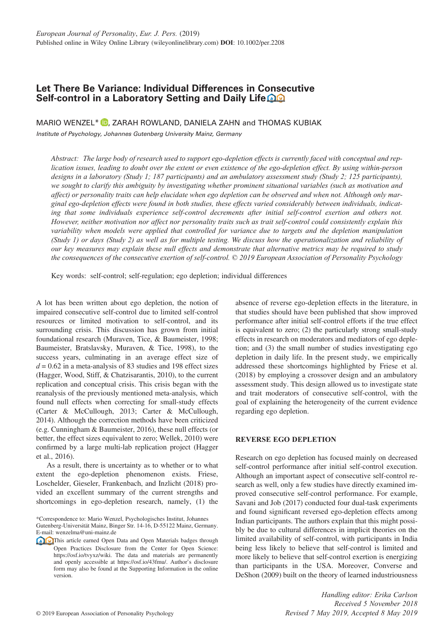# **Let There Be Variance: Individual Differences in Consecutive Self-control in a Laboratory Setting and Daily Life**

MARIO WENZEL<sup>\*</sup> (D[,](https://orcid.org/0000-0003-2839-9482) ZARAH ROWLAND, DANIELA ZAHN and THOMAS KUBIAK

Institute of Psychology, Johannes Gutenberg University Mainz, Germany

*Abstract: The large body of research used to support ego-depletion effects is currently faced with conceptual and replication issues, leading to doubt over the extent or even existence of the ego-depletion effect. By using within-person designs in a laboratory (Study 1; 187 participants) and an ambulatory assessment study (Study 2; 125 participants), we sought to clarify this ambiguity by investigating whether prominent situational variables (such as motivation and affect) or personality traits can help elucidate when ego depletion can be observed and when not. Although only marginal ego-depletion effects were found in both studies, these effects varied considerably between individuals, indicating that some individuals experience self-control decrements after initial self-control exertion and others not. However, neither motivation nor affect nor personality traits such as trait self-control could consistently explain this variability when models were applied that controlled for variance due to targets and the depletion manipulation (Study 1) or days (Study 2) as well as for multiple testing. We discuss how the operationalization and reliability of our key measures may explain these null effects and demonstrate that alternative metrics may be required to study the consequences of the consecutive exertion of self-control. © 2019 European Association of Personality Psychology*

Key words: self-control; self-regulation; ego depletion; individual differences

A lot has been written about ego depletion, the notion of impaired consecutive self-control due to limited self-control resources or limited motivation to self-control, and its surrounding crisis. This discussion has grown from initial foundational research (Muraven, Tice, & Baumeister, 1998; Baumeister, Bratslavsky, Muraven, & Tice, 1998), to the success years, culminating in an average effect size of  $d = 0.62$  in a meta-analysis of 83 studies and 198 effect sizes (Hagger, Wood, Stiff, & Chatzisarantis, 2010), to the current replication and conceptual crisis. This crisis began with the reanalysis of the previously mentioned meta-analysis, which found null effects when correcting for small-study effects (Carter & McCullough, 2013; Carter & McCullough, 2014). Although the correction methods have been criticized (e.g. Cunningham & Baumeister, 2016), these null effects (or better, the effect sizes equivalent to zero; Wellek, 2010) were confirmed by a large multi-lab replication project (Hagger et al., 2016).

As a result, there is uncertainty as to whether or to what extent the ego-depletion phenomenon exists. Friese, Loschelder, Gieseler, Frankenbach, and Inzlicht (2018) provided an excellent summary of the current strengths and shortcomings in ego-depletion research, namely, (1) the

\*Correspondence to: Mario Wenzel, Psychologisches Institut, Johannes Gutenberg-Universität Mainz, Binger Str. 14-16, D-55122 Mainz, Germany. E-mail: wenzelma@uni-mainz.de

**This article earned Open Data and Open Materials badges through** Open Practices Disclosure from the Center for Open Science: [https://osf.io/tvyxz/wiki.](https://osf.io/tvyxz/wiki) The data and materials are permanently and openly accessible at [https://osf.io/43fmu/.](https://osf.io/43fmu/) Author's disclosure form may also be found at the Supporting Information in the online version.

absence of reverse ego-depletion effects in the literature, in that studies should have been published that show improved performance after initial self-control efforts if the true effect is equivalent to zero; (2) the particularly strong small-study effects in research on moderators and mediators of ego depletion; and (3) the small number of studies investigating ego depletion in daily life. In the present study, we empirically addressed these shortcomings highlighted by Friese et al. (2018) by employing a crossover design and an ambulatory assessment study. This design allowed us to investigate state and trait moderators of consecutive self-control, with the goal of explaining the heterogeneity of the current evidence regarding ego depletion.

# **REVERSE EGO DEPLETION**

Research on ego depletion has focused mainly on decreased self-control performance after initial self-control execution. Although an important aspect of consecutive self-control research as well, only a few studies have directly examined improved consecutive self-control performance. For example, Savani and Job (2017) conducted four dual-task experiments and found significant reversed ego-depletion effects among Indian participants. The authors explain that this might possibly be due to cultural differences in implicit theories on the limited availability of self-control, with participants in India being less likely to believe that self-control is limited and more likely to believe that self-control exertion is energizing than participants in the USA. Moreover, Converse and DeShon (2009) built on the theory of learned industriousness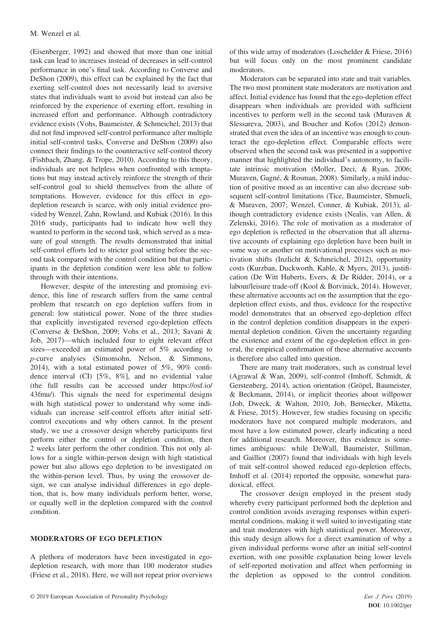(Eisenberger, 1992) and showed that more than one initial task can lead to increases instead of decreases in self-control performance in one's final task. According to Converse and DeShon (2009), this effect can be explained by the fact that exerting self-control does not necessarily lead to aversive states that individuals want to avoid but instead can also be reinforced by the experience of exerting effort, resulting in increased effort and performance. Although contradictory evidence exists (Vohs, Baumeister, & Schmeichel, 2013) that did not find improved self-control performance after multiple initial self-control tasks, Converse and DeShon (2009) also connect their findings to the counteractive self-control theory (Fishbach, Zhang, & Trope, 2010). According to this theory, individuals are not helpless when confronted with temptations but may instead actively reinforce the strength of their self-control goal to shield themselves from the allure of temptations. However, evidence for this effect in egodepletion research is scarce, with only initial evidence provided by Wenzel, Zahn, Rowland, and Kubiak (2016). In this 2016 study, participants had to indicate how well they wanted to perform in the second task, which served as a measure of goal strength. The results demonstrated that initial self-control efforts led to stricter goal setting before the second task compared with the control condition but that participants in the depletion condition were less able to follow through with their intentions.

However, despite of the interesting and promising evidence, this line of research suffers from the same central problem that research on ego depletion suffers from in general: low statistical power. None of the three studies that explicitly investigated reversed ego-depletion effects (Converse & DeShon, 2009; Vohs et al., 2013; Savani & Job, 2017)—which included four to eight relevant effect sizes—exceeded an estimated power of 5% according to *p*-curve analyses (Simonsohn, Nelson, & Simmons, 2014), with a total estimated power of 5%, 90% confidence interval (CI) [5%, 8%], and no evidential value (the full results can be accessed under [https://osf.io/](https://osf.io/43fmu/?view_only=faf2593c9c4c4e9b8c71c9b2718bd1d0) [43fmu/\)](https://osf.io/43fmu/?view_only=faf2593c9c4c4e9b8c71c9b2718bd1d0). This signals the need for experimental designs with high statistical power to understand why some individuals can increase self-control efforts after initial selfcontrol executions and why others cannot. In the present study, we use a crossover design whereby participants first perform either the control or depletion condition, then 2 weeks later perform the other condition. This not only allows for a single within-person design with high statistical power but also allows ego depletion to be investigated on the within-person level. Thus, by using the crossover design, we can analyse individual differences in ego depletion, that is, how many individuals perform better, worse, or equally well in the depletion compared with the control condition.

# **MODERATORS OF EGO DEPLETION**

A plethora of moderators have been investigated in egodepletion research, with more than 100 moderator studies (Friese et al., 2018). Here, we will not repeat prior overviews of this wide array of moderators (Loschelder & Friese, 2016) but will focus only on the most prominent candidate moderators.

Moderators can be separated into state and trait variables. The two most prominent state moderators are motivation and affect. Initial evidence has found that the ego-depletion effect disappears when individuals are provided with sufficient incentives to perform well in the second task (Muraven & Slessareva, 2003), and Boucher and Kofos (2012) demonstrated that even the idea of an incentive was enough to counteract the ego-depletion effect. Comparable effects were observed when the second task was presented in a supportive manner that highlighted the individual's autonomy, to facilitate intrinsic motivation (Moller, Deci, & Ryan, 2006; Muraven, Gagné, & Rosman, 2008). Similarly, a mild induction of positive mood as an incentive can also decrease subsequent self-control limitations (Tice, Baumeister, Shmueli, & Muraven, 2007; Wenzel, Conner, & Kubiak, 2013), although contradictory evidence exists (Nealis, van Allen, & Zelenski, 2016). The role of motivation as a moderator of ego depletion is reflected in the observation that all alternative accounts of explaining ego depletion have been built in some way or another on motivational processes such as motivation shifts (Inzlicht & Schmeichel, 2012), opportunity costs (Kurzban, Duckworth, Kable, & Myers, 2013), justification (De Witt Huberts, Evers, & De Ridder, 2014), or a labour/leisure trade-off (Kool & Botvinick, 2014). However, these alternative accounts act on the assumption that the egodepletion effect exists, and thus, evidence for the respective model demonstrates that an observed ego-depletion effect in the control depletion condition disappears in the experimental depletion condition. Given the uncertainty regarding the existence and extent of the ego-depletion effect in general, the empirical confirmation of these alternative accounts is therefore also called into question.

There are many trait moderators, such as construal level (Agrawal & Wan, 2009), self-control (Imhoff, Schmidt, & Gerstenberg, 2014), action orientation (Gröpel, Baumeister, & Beckmann, 2014), or implicit theories about willpower (Job, Dweck, & Walton, 2010; Job, Bernecker, Miketta, & Friese, 2015). However, few studies focusing on specific moderators have not compared multiple moderators, and most have a low estimated power, clearly indicating a need for additional research. Moreover, this evidence is sometimes ambiguous: while DeWall, Baumeister, Stillman, and Gailliot (2007) found that individuals with high levels of trait self-control showed reduced ego-depletion effects, Imhoff et al. (2014) reported the opposite, somewhat paradoxical, effect.

The crossover design employed in the present study whereby every participant performed both the depletion and control condition avoids averaging responses within experimental conditions, making it well suited to investigating state and trait moderators with high statistical power. Moreover, this study design allows for a direct examination of why a given individual performs worse after an initial self-control exertion, with one possible explanation being lower levels of self-reported motivation and affect when performing in the depletion as opposed to the control condition.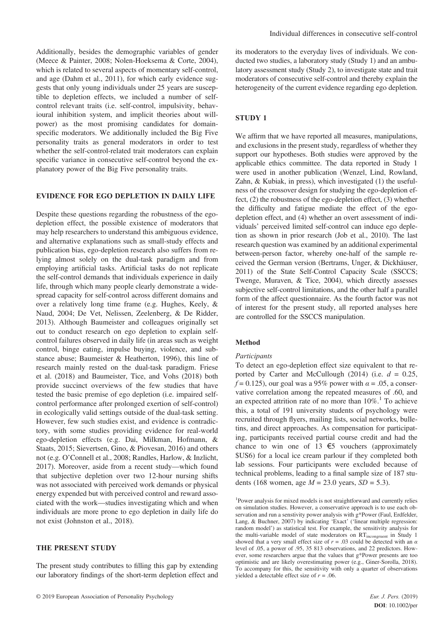Additionally, besides the demographic variables of gender (Meece & Painter, 2008; Nolen-Hoeksema & Corte, 2004), which is related to several aspects of momentary self-control, and age (Dahm et al., 2011), for which early evidence suggests that only young individuals under 25 years are susceptible to depletion effects, we included a number of selfcontrol relevant traits (i.e. self-control, impulsivity, behavioural inhibition system, and implicit theories about willpower) as the most promising candidates for domainspecific moderators. We additionally included the Big Five personality traits as general moderators in order to test whether the self-control-related trait moderators can explain specific variance in consecutive self-control beyond the explanatory power of the Big Five personality traits.

#### **EVIDENCE FOR EGO DEPLETION IN DAILY LIFE**

Despite these questions regarding the robustness of the egodepletion effect, the possible existence of moderators that may help researchers to understand this ambiguous evidence, and alternative explanations such as small-study effects and publication bias, ego-depletion research also suffers from relying almost solely on the dual-task paradigm and from employing artificial tasks. Artificial tasks do not replicate the self-control demands that individuals experience in daily life, through which many people clearly demonstrate a widespread capacity for self-control across different domains and over a relatively long time frame (e.g. Hughes, Keely, & Naud, 2004; De Vet, Nelissen, Zeelenberg, & De Ridder, 2013). Although Baumeister and colleagues originally set out to conduct research on ego depletion to explain selfcontrol failures observed in daily life (in areas such as weight control, binge eating, impulse buying, violence, and substance abuse; Baumeister & Heatherton, 1996), this line of research mainly rested on the dual-task paradigm. Friese et al. (2018) and Baumeister, Tice, and Vohs (2018) both provide succinct overviews of the few studies that have tested the basic premise of ego depletion (i.e. impaired selfcontrol performance after prolonged exertion of self-control) in ecologically valid settings outside of the dual-task setting. However, few such studies exist, and evidence is contradictory, with some studies providing evidence for real-world ego-depletion effects (e.g. Dai, Milkman, Hofmann, & Staats, 2015; Sievertsen, Gino, & Piovesan, 2016) and others not (e.g. O'Connell et al., 2008; Randles, Harlow, & Inzlicht, 2017). Moreover, aside from a recent study—which found that subjective depletion over two 12-hour nursing shifts was not associated with perceived work demands or physical energy expended but with perceived control and reward associated with the work—studies investigating which and when individuals are more prone to ego depletion in daily life do not exist (Johnston et al., 2018).

### **THE PRESENT STUDY**

The present study contributes to filling this gap by extending our laboratory findings of the short-term depletion effect and its moderators to the everyday lives of individuals. We conducted two studies, a laboratory study (Study 1) and an ambulatory assessment study (Study 2), to investigate state and trait moderators of consecutive self-control and thereby explain the heterogeneity of the current evidence regarding ego depletion.

### **STUDY 1**

We affirm that we have reported all measures, manipulations, and exclusions in the present study, regardless of whether they support our hypotheses. Both studies were approved by the applicable ethics committee. The data reported in Study 1 were used in another publication (Wenzel, Lind, Rowland, Zahn, & Kubiak, in press), which investigated (1) the usefulness of the crossover design for studying the ego-depletion effect, (2) the robustness of the ego-depletion effect, (3) whether the difficulty and fatigue mediate the effect of the egodepletion effect, and (4) whether an overt assessment of individuals' perceived limited self-control can induce ego depletion as shown in prior research (Job et al., 2010). The last research question was examined by an additional experimental between-person factor, whereby one-half of the sample received the German version (Bertrams, Unger, & Dickhäuser, 2011) of the State Self-Control Capacity Scale (SSCCS; Twenge, Muraven, & Tice, 2004), which directly assesses subjective self-control limitations, and the other half a parallel form of the affect questionnaire. As the fourth factor was not of interest for the present study, all reported analyses here are controlled for the SSCCS manipulation.

### **Method**

#### *Participants*

To detect an ego-depletion effect size equivalent to that reported by Carter and McCullough (2014) (i.e.  $d = 0.25$ ,  $f = 0.125$ , our goal was a 95% power with  $\alpha = .05$ , a conservative correlation among the repeated measures of .60, and an expected attrition rate of no more than  $10\%$ .<sup>1</sup> To achieve this, a total of 191 university students of psychology were recruited through flyers, mailing lists, social networks, bulletins, and direct approaches. As compensation for participating, participants received partial course credit and had the chance to win one of 13  $\epsilon$ 5 vouchers (approximately \$US6) for a local ice cream parlour if they completed both lab sessions. Four participants were excluded because of technical problems, leading to a final sample size of 187 students (168 women, age *M* = 23.0 years, *SD* = 5.3).

<sup>1</sup>Power analysis for mixed models is not straightforward and currently relies on simulation studies. However, a conservative approach is to use each observation and run a senstivity power analysis with g\*Power (Faul, Erdfelder, Lang, & Buchner, 2007) by indicating 'Exact' ('linear multiple regression: random model') as statistical test. For example, the sensitivity analysis for the multi-variable model of state moderators on RTincongruent in Study 1 showed that a very small effect size of  $r = .03$  could be detected with an  $\alpha$ level of .05, a power of .95, 35 813 observations, and 22 predictors. However, some researchers argue that the values that g\*Power presents are too optimistic and are likely overestimating power (e.g., Giner-Sorolla, 2018). To accompany for this, the sensitivity with only a quarter of observations yielded a detectable effect size of  $r = .06$ .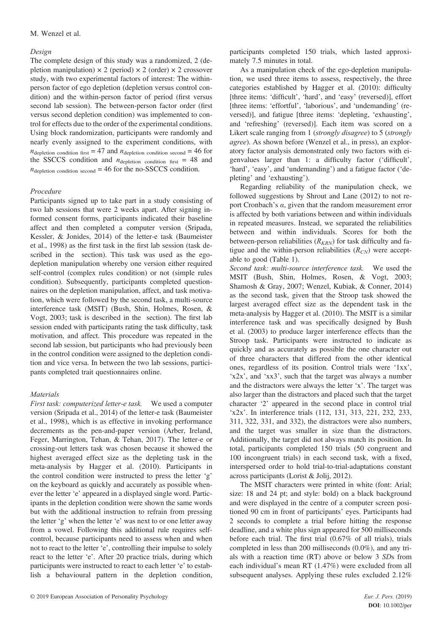# *Design*

The complete design of this study was a randomized, 2 (depletion manipulation)  $\times$  2 (period)  $\times$  2 (order)  $\times$  2 crossover study, with two experimental factors of interest: The withinperson factor of ego depletion (depletion versus control condition) and the within-person factor of period (first versus second lab session). The between-person factor order (first versus second depletion condition) was implemented to control for effects due to the order of the experimental conditions. Using block randomization, participants were randomly and nearly evenly assigned to the experiment conditions, with  $n_{\text{depletion condition first}} = 47$  and  $n_{\text{depletion condition second}} = 46$  for the SSCCS condition and  $n_{\text{depletion condition first}} = 48$  and  $n_{\text{depletion condition second}} = 46$  for the no-SSCCS condition.

# *Procedure*

Participants signed up to take part in a study consisting of two lab sessions that were 2 weeks apart. After signing informed consent forms, participants indicated their baseline affect and then completed a computer version (Sripada, Kessler, & Jonides, 2014) of the letter-e task (Baumeister et al., 1998) as the first task in the first lab session (task described in the section). This task was used as the egodepletion manipulation whereby one version either required self-control (complex rules condition) or not (simple rules condition). Subsequently, participants completed questionnaires on the depletion manipulation, affect, and task motivation, which were followed by the second task, a multi-source interference task (MSIT) (Bush, Shin, Holmes, Rosen, & Vogt, 2003; task is described in the section). The first lab session ended with participants rating the task difficulty, task motivation, and affect. This procedure was repeated in the second lab session, but participants who had previously been in the control condition were assigned to the depletion condition and vice versa. In between the two lab sessions, participants completed trait questionnaires online.

# *Materials*

*First task: computerized letter-e task.* We used a computer version (Sripada et al., 2014) of the letter-e task (Baumeister et al., 1998), which is as effective in invoking performance decrements as the pen-and-paper version (Arber, Ireland, Feger, Marrington, Tehan, & Tehan, 2017). The letter-e or crossing-out letters task was chosen because it showed the highest averaged effect size as the depleting task in the meta-analysis by Hagger et al. (2010). Participants in the control condition were instructed to press the letter 'g' on the keyboard as quickly and accurately as possible whenever the letter 'e' appeared in a displayed single word. Participants in the depletion condition were shown the same words but with the additional instruction to refrain from pressing the letter 'g' when the letter 'e' was next to or one letter away from a vowel. Following this additional rule requires selfcontrol, because participants need to assess when and when not to react to the letter 'e', controlling their impulse to solely react to the letter 'e'. After 20 practice trials, during which participants were instructed to react to each letter 'e' to establish a behavioural pattern in the depletion condition,

participants completed 150 trials, which lasted approximately 7.5 minutes in total.

As a manipulation check of the ego-depletion manipulation, we used three items to assess, respectively, the three categories established by Hagger et al. (2010): difficulty [three items: 'difficult', 'hard', and 'easy' (reversed)], effort [three items: 'effortful', 'laborious', and 'undemanding' (reversed)], and fatigue [three items: 'depleting, 'exhausting', and 'refreshing' (reversed)]. Each item was scored on a Likert scale ranging from 1 (*strongly disagree*) to 5 (*strongly agree*). As shown before (Wenzel et al., in press), an exploratory factor analysis demonstrated only two factors with eigenvalues larger than 1: a difficulty factor ('difficult', 'hard', 'easy', and 'undemanding') and a fatigue factor ('depleting' and 'exhausting').

Regarding reliability of the manipulation check, we followed suggestions by Shrout and Lane (2012) to not report Cronbach's *α*, given that the random measurement error is affected by both variations between and within individuals in repeated measures. Instead, we separated the reliabilities between and within individuals. Scores for both the between-person reliabilities  $(R_{KRN})$  for task difficulty and fatigue and the within-person reliabilities  $(R_{CN})$  were acceptable to good (Table 1).

*Second task: multi-source interference task.* We used the MSIT (Bush, Shin, Holmes, Rosen, & Vogt, 2003; Shamosh & Gray, 2007; Wenzel, Kubiak, & Conner, 2014) as the second task, given that the Stroop task showed the largest averaged effect size as the dependent task in the meta-analysis by Hagger et al. (2010). The MSIT is a similar interference task and was specifically designed by Bush et al. (2003) to produce larger interference effects than the Stroop task. Participants were instructed to indicate as quickly and as accurately as possible the one character out of three characters that differed from the other identical ones, regardless of its position. Control trials were '1xx', 'x2x', and 'xx3', such that the target was always a number and the distractors were always the letter 'x'. The target was also larger than the distractors and placed such that the target character '2' appeared in the second place in control trial 'x2x'. In interference trials (112, 131, 313, 221, 232, 233, 311, 322, 331, and 332), the distractors were also numbers, and the target was smaller in size than the distractors. Additionally, the target did not always match its position. In total, participants completed 150 trials (50 congruent and 100 incongruent trials) in each second task, with a fixed, interspersed order to hold trial-to-trial-adaptations constant across participants (Lorist & Jolij, 2012).

The MSIT characters were printed in white (font: Arial; size: 18 and 24 pt; and style: bold) on a black background and were displayed in the centre of a computer screen positioned 90 cm in front of participants' eyes. Participants had 2 seconds to complete a trial before hitting the response deadline, and a white plus sign appeared for 500 milliseconds before each trial. The first trial (0.67% of all trials), trials completed in less than 200 milliseconds (0.0%), and any trials with a reaction time (RT) above or below 3 *SD*s from each individual's mean RT (1.47%) were excluded from all subsequent analyses. Applying these rules excluded 2.12%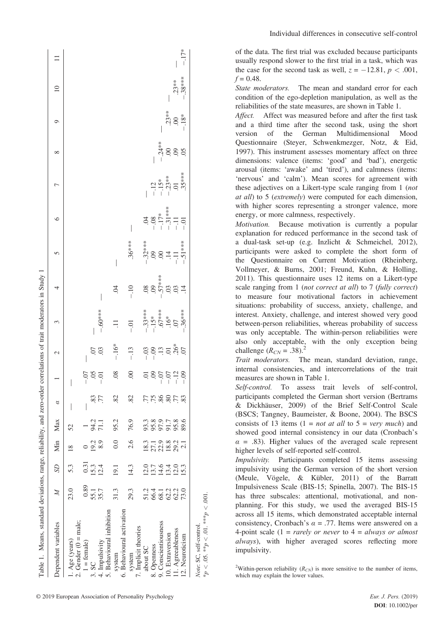| Table 1. Means, standard deviations, range, reliability, and zero-order |                   |                            |                      |                   |           |                |                | correlations of trait moderators in Study 1 |                      |                 |                                                   |                            |                |                            |                 |          |
|-------------------------------------------------------------------------|-------------------|----------------------------|----------------------|-------------------|-----------|----------------|----------------|---------------------------------------------|----------------------|-----------------|---------------------------------------------------|----------------------------|----------------|----------------------------|-----------------|----------|
| Dependent variables                                                     | $\mathbb{N}$      | <b>SD</b>                  | Min Max              |                   | ಠ         |                | $\mathfrak{g}$ | ς                                           |                      | 5               | ∘                                                 | ┍                          | ∞              | Q                          | $\overline{10}$ | $\equiv$ |
| 1. Age (years)                                                          | 23.0              | 53                         |                      | 52                |           |                |                |                                             |                      |                 |                                                   |                            |                |                            |                 |          |
| 2. Gender $(0 = male;$                                                  |                   |                            |                      |                   |           |                |                |                                             |                      |                 |                                                   |                            |                |                            |                 |          |
| $=$ female)                                                             | 0.89              | 0.31                       |                      |                   |           | $-0$           |                |                                             |                      |                 |                                                   |                            |                |                            |                 |          |
| 3. SC                                                                   | 55.1              | $15.3$<br>$12.4$           | 19.2<br>8.9          | 94.2<br>71.1      | 83        | SO.            |                |                                             |                      |                 |                                                   |                            |                |                            |                 |          |
| 4. Impulsivity                                                          | 35.7              |                            |                      |                   | 77        | Ξ<br>⊃         | $\frac{5}{20}$ | $-60***$                                    |                      |                 |                                                   |                            |                |                            |                 |          |
| 5. Behavioural inhibition                                               |                   |                            |                      |                   |           |                |                |                                             |                      |                 |                                                   |                            |                |                            |                 |          |
| system                                                                  | 31.3              | 19.1                       | 0.0                  | 95.2              | 82        | $\frac{8}{2}$  | $-.16*$        |                                             | S.                   | $\bigg\vert$    |                                                   |                            |                |                            |                 |          |
| 6. Behavioural activation                                               |                   |                            |                      |                   |           |                |                |                                             |                      |                 |                                                   |                            |                |                            |                 |          |
| system                                                                  | 29.3              | 14.3                       | 2.6                  | 76.9              | 82        | $\odot$        | $-13$          | $-0.1$                                      | $-10$                | $.36***$        |                                                   |                            |                |                            |                 |          |
| 7. Implicit theories                                                    |                   |                            |                      |                   |           |                |                |                                             |                      |                 |                                                   |                            |                |                            |                 |          |
| about SC                                                                |                   | 12.0                       | 18.3                 |                   |           | $\Xi$          |                | $-33***$<br>$-15*$<br>$-67***$<br>$-16*$    | $-57***$<br>$-57***$ | $-32***$<br>.09 |                                                   |                            |                |                            |                 |          |
| 8. Openness                                                             |                   | $13.7$<br>$14.6$<br>$13.4$ | 27.1<br>22.9<br>18.8 |                   | 8 % ? ? ? | $\ddot{\circ}$ | $-0.3$         |                                             |                      |                 | $-04$<br>$-17$<br>$-17$<br>$-13$<br>$+3$<br>$-11$ |                            |                |                            |                 |          |
| 9. Conscientiousness                                                    |                   |                            |                      |                   |           | $-0.7$         |                |                                             |                      |                 |                                                   |                            |                |                            |                 |          |
| 10. Extraversion                                                        |                   |                            |                      |                   |           | $-0$           |                |                                             |                      | 847             |                                                   | $-12$<br>$-15*$<br>$-23**$ | $-0.24**$      |                            |                 |          |
| 11. Agreeableness                                                       | 1341333<br>588235 | 12.0                       | $29.2$<br>$2.1$      | 3895789<br>385588 | .77       | $-12$          | $13.58*$       |                                             | $\overline{0}$       |                 |                                                   |                            | 60.            | $.23**$<br>$-00$<br>$-18*$ | $.23**$         |          |
| 12. Neuroticism                                                         |                   | 15.3                       |                      |                   | 83        | $-0.9$         |                | $-.36***$                                   | $\overline{14}$      | $-.51***$       |                                                   | $.35***$                   | $\overline{0}$ |                            | $-.38***$       | $-17*$   |
| Note: SC, self-control                                                  |                   |                            |                      |                   |           |                |                |                                             |                      |                 |                                                   |                            |                |                            |                 |          |

Individual differences in consecutive self-control

of the data. The first trial was excluded because participants usually respond slower to the first trial in a task, which was the case for the second task as well,  $z = -12.81$ ,  $p < .001$ ,  $f = 0.48$ .

*State moderators.* The mean and standard error for each condition of the ego-depletion manipulation, as well as the reliabilities of the state measures, are shown in Table 1.

*Affect.* Affect was measured before and after the first task and a third time after the second task, using the short version of the German Multidimensional Mood Questionnaire (Steyer, Schwenkmezger, Notz, & Eid, 1997). This instrument assesses momentary affect on three dimensions: valence (items: 'good' and 'bad'), energetic arousal (items: 'awake' and 'tired'), and calmness (items: 'nervous' and 'calm'). Mean scores for agreement with these adjectives on a Likert-type scale ranging from 1 (*not at all*) to 5 (*extremely*) were computed for each dimension, with higher scores representing a stronger valence, more energy, or more calmness, respectively.

*Motivation.* Because motivation is currently a popular explanation for reduced performance in the second task of a dual-task set-up (e.g. Inzlicht & Schmeichel, 2012), participants were asked to complete the short form of the Questionnaire on Current Motivation (Rheinberg, Vollmeyer, & Burns, 2001; Freund, Kuhn, & Holling, 2011). This questionnaire uses 12 items on a Likert-type scale ranging from 1 (*not correct at all*) to 7 (*fully correct*) to measure four motivational factors in achievement situations: probability of success, anxiety, challenge, and interest. Anxiety, challenge, and interest showed very good between-person reliabilities, whereas probability of success was only acceptable. The within-person reliabilities were also only acceptable, with the only exception being challenge  $(R_{CN} = .38).$ <sup>2</sup>

*Trait moderators.* The mean, standard deviation, range, internal consistencies, and intercorrelations of the trait measures are shown in Table 1.

*Self-control.* To assess trait levels of self-control, participants completed the German short version (Bertrams & Dickhäuser, 2009) of the Brief Self-Control Scale (BSCS; Tangney, Baumeister, & Boone, 2004). The BSCS consists of 13 items (1 = *not at all* to 5 = *very much*) and showed good internal consistency in our data (Cronbach's  $\alpha$  = .83). Higher values of the averaged scale represent higher levels of self-reported self-control.

*Impulsivity.* Participants completed 15 items assessing impulsivity using the German version of the short version (Meule, Vögele, & Kübler, 2011) of the Barratt Impulsiveness Scale (BIS-15; Spinella, 2007). The BIS-15 has three subscales: attentional, motivational, and nonplanning. For this study, we used the averaged BIS-15 across all 15 items, which demonstrated acceptable internal consistency, Cronbach's  $\alpha = .77$ . Items were answered on a 4-point scale (1 = *rarely or never* to 4 = *always or almost always*), with higher averaged scores reflecting more impulsivity.

\**p*

 $< 0.05$ .  $*_{p}$ 

*<* $\leq 0.01$ .\*\**p* 

*<* .001.

<sup>&</sup>lt;sup>2</sup>Within-person reliability  $(R_{CN})$  is more sensitive to the number of items, which may explain the lower values.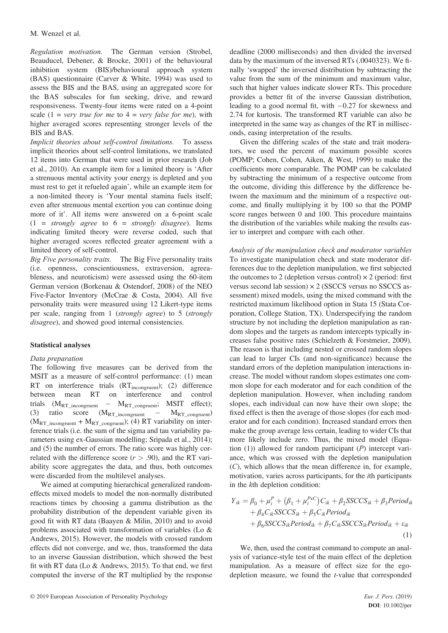*Regulation motivation.* The German version (Strobel, Beauducel, Debener, & Brocke, 2001) of the behavioural inhibition system (BIS)/behavioural approach system (BAS) questionnaire (Carver & White, 1994) was used to assess the BIS and the BAS, using an aggregated score for the BAS subscales for fun seeking, drive, and reward responsiveness. Twenty-four items were rated on a 4-point scale  $(1 = very true for me to 4 = very false for me)$ , with higher averaged scores representing stronger levels of the BIS and BAS.

*Implicit theories about self-control limitations.* To assess implicit theories about self-control limitations, we translated 12 items into German that were used in prior research (Job et al., 2010). An example item for a limited theory is 'After a strenuous mental activity your energy is depleted and you must rest to get it refueled again', while an example item for a non-limited theory is 'Your mental stamina fuels itself; even after strenuous mental exertion you can continue doing more of it'. All items were answered on a 6-point scale (1 = *strongly agree* to 6 = *strongly disagree*). Items indicating limited theory were reverse coded, such that higher averaged scores reflected greater agreement with a limited theory of self-control.

*Big Five personality traits.* The Big Five personality traits (i.e. openness, conscientiousness, extraversion, agreeableness, and neuroticism) were assessed using the 60-item German version (Borkenau & Ostendorf, 2008) of the NEO Five-Factor Inventory (McCrae & Costa, 2004). All five personality traits were measured using 12 Likert-type items per scale, ranging from 1 (*strongly agree*) to 5 (*strongly disagree*), and showed good internal consistencies.

# **Statistical analyses**

### *Data preparation*

The following five measures can be derived from the MSIT as a measure of self-control performance: (1) mean RT on interference trials (RT<sub>incongruent</sub>); (2) difference<br>between mean RT on interference and control between mean RT on interference and trials  $(M_{RT\_incongruent} - M_{RT\_congruent}$ ; MSIT effect);<br>(3) ratio score  $(M_{RT~incongruent} - M_{RT~congruent})$ (3) ratio score  $(M_{RT\_incongruent}$  –  $(M_{RT\_incongruent} + M_{RT\_congruent})$ ; (4) RT variability on interference trials (i.e. the sum of the sigma and tau variability parameters using ex-Gaussian modelling; Sripada et al., 2014); and (5) the number of errors. The ratio score was highly correlated with the difference score  $(r > .90)$ , and the RT variability score aggregates the data, and thus, both outcomes were discarded from the multilevel analyses.

We aimed at computing hierarchical generalized randomeffects mixed models to model the non-normally distributed reactions times by choosing a gamma distribution as the probability distribution of the dependent variable given its good fit with RT data (Baayen & Milin, 2010) and to avoid problems associated with transformation of variables (Lo & Andrews, 2015). However, the models with crossed random effects did not converge, and we, thus, transformed the data to an inverse Gaussian distribution, which showed the best fit with RT data (Lo & Andrews, 2015). To that end, we first computed the inverse of the RT multiplied by the response

deadline (2000 milliseconds) and then divided the inversed data by the maximum of the inversed RTs (.0040323). We finally 'swapped' the inversed distribution by subtracting the value from the sum of the minimum and maximum value, such that higher values indicate slower RTs. This procedure provides a better fit of the inverse Gaussian distribution, leading to a good normal fit, with  $-0.27$  for skewness and 2.74 for kurtosis. The transformed RT variable can also be interpreted in the same way as changes of the RT in milliseconds, easing interpretation of the results.

Given the differing scales of the state and trait moderators, we used the percent of maximum possible scores (POMP; Cohen, Cohen, Aiken, & West, 1999) to make the coefficients more comparable. The POMP can be calculated by subtracting the minimum of a respective outcome from the outcome, dividing this difference by the difference between the maximum and the minimum of a respective outcome, and finally multiplying it by 100 so that the POMP score ranges between 0 and 100. This procedure maintains the distribution of the variables while making the results easier to interpret and compare with each other.

*Analysis of the manipulation check and moderator variables* To investigate manipulation check and state moderator differences due to the depletion manipulation, we first subjected the outcomes to 2 (depletion versus control)  $\times$  2 (period: first versus second lab session) × 2 (SSCCS versus no SSCCS assessment) mixed models, using the mixed command with the restricted maximum likelihood option in Stata 15 (Stata Corporation, College Station, TX). Underspecifying the random structure by not including the depletion manipulation as random slopes and the targets as random intercepts typically increases false positive rates (Schielzeth & Forstmeier, 2009). The reason is that including nested or crossed random slopes can lead to larger CIs (and non-significance) because the standard errors of the depletion manipulation interactions increase. The model without random slopes estimates one common slope for each moderator and for each condition of the depletion manipulation. However, when including random slopes, each individual can now have their own slope; the fixed effect is then the average of those slopes (for each moderator and for each condition). Increased standard errors then make the group average less certain, leading to wider CIs that more likely include zero. Thus, the mixed model (Equation (1)) allowed for random participant (*P*) intercept variance, which was crossed with the depletion manipulation (*C*), which allows that the mean difference in, for example, motivation, varies across participants, for the *i*th participants in the *k*th depletion condition:

$$
Y_{ik} = \beta_0 + \mu_i^P + (\beta_1 + \mu_i^{P\times C})C_{ik} + \beta_2 SSCCS_{ik} + \beta_3 Period_{ik}
$$
  
+  $\beta_4 C_{ik} SSCCS_{ik} + \beta_5 C_{ik} Period_{ik}$   
+  $\beta_6 SSCCS_{ik} Period_{ik} + \beta_7 C_{ik} SSCCS_{ik} Period_{ik} + \varepsilon_{ik}$   
(1)

We, then, used the contrast command to compute an analysis of variance-style test of the main effect of the depletion manipulation. As a measure of effect size for the egodepletion measure, we found the *t*-value that corresponded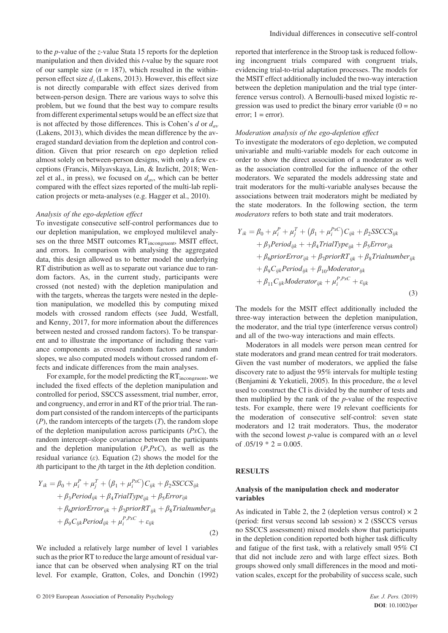to the *p*-value of the *z*-value Stata 15 reports for the depletion manipulation and then divided this *t*-value by the square root of our sample size  $(n = 187)$ , which resulted in the withinperson effect size *dz* (Lakens, 2013). However, this effect size is not directly comparable with effect sizes derived from between-person design. There are various ways to solve this problem, but we found that the best way to compare results from different experimental setups would be an effect size that is not affected by those differences. This is Cohen's *d* or *dav* (Lakens, 2013), which divides the mean difference by the averaged standard deviation from the depletion and control condition. Given that prior research on ego depletion relied almost solely on between-person designs, with only a few exceptions (Francis, Milyavskaya, Lin, & Inzlicht, 2018; Wenzel et al., in press), we focused on  $d_{av}$ , which can be better compared with the effect sizes reported of the multi-lab replication projects or meta-analyses (e.g. Hagger et al., 2010).

#### *Analysis of the ego-depletion effect*

To investigate consecutive self-control performances due to our depletion manipulation, we employed multilevel analyses on the three MSIT outcomes RT<sub>incongruent</sub>, MSIT effect, and errors. In comparison with analysing the aggregated data, this design allowed us to better model the underlying RT distribution as well as to separate out variance due to random factors. As, in the current study, participants were crossed (not nested) with the depletion manipulation and with the targets, whereas the targets were nested in the depletion manipulation, we modelled this by computing mixed models with crossed random effects (see Judd, Westfall, and Kenny, 2017, for more information about the differences between nested and crossed random factors). To be transparent and to illustrate the importance of including these variance components as crossed random factors and random slopes, we also computed models without crossed random effects and indicate differences from the main analyses.

For example, for the model predicting the  $RT_{incongruent}$ , we included the fixed effects of the depletion manipulation and controlled for period, SSCCS assessment, trial number, error, and congruency, and error in and RT of the prior trial. The random part consisted of the random intercepts of the participants (*P*), the random intercepts of the targets (*T*), the random slope of the depletion manipulation across participants (*PxC*), the random intercept–slope covariance between the participants and the depletion manipulation (*P*,*PxC*), as well as the residual variance  $(\varepsilon)$ . Equation (2) shows the model for the *i*th participant to the *j*th target in the *k*th depletion condition.

$$
Y_{ik} = \beta_0 + \mu_i^P + \mu_j^T + (\beta_1 + \mu_i^{PxC})C_{ijk} + \beta_2 SSCCS_{ijk}
$$
  
+  $\beta_3 Period_{ijk} + \beta_4 TrialType_{ijk} + \beta_5 Error_{ijk}$   
+  $\beta_6 priorError_{ijk} + \beta_7 priorRT_{ijk} + \beta_8 Trialnumber_{ijk}$   
+  $\beta_9 C_{ijk} Period_{ijk} + \mu_i^{P,PxC} + \varepsilon_{ijk}$  (2)

We included a relatively large number of level 1 variables such as the prior RT to reduce the large amount of residual variance that can be observed when analysing RT on the trial level. For example, Gratton, Coles, and Donchin (1992)

reported that interference in the Stroop task is reduced following incongruent trials compared with congruent trials, evidencing trial-to-trial adaptation processes. The models for the MSIT effect additionally included the two-way interaction between the depletion manipulation and the trial type (interference versus control). A Bernoulli-based mixed logistic regression was used to predict the binary error variable  $(0 = no$ error;  $1 = error$ ).

#### *Moderation analysis of the ego-depletion effect*

To investigate the moderators of ego depletion, we computed univariable and multi-variable models for each outcome in order to show the direct association of a moderator as well as the association controlled for the influence of the other moderators. We separated the models addressing state and trait moderators for the multi-variable analyses because the associations between trait moderators might be mediated by the state moderators. In the following section, the term *moderators* refers to both state and trait moderators.

$$
Y_{ik} = \beta_0 + \mu_i^P + \mu_j^T + (\beta_1 + \mu_i^{PxC})C_{ijk} + \beta_2 SSCCS_{ijk}
$$
  
+  $\beta_3 Period_{ijk} + + \beta_4 TrialType_{ijk} + \beta_5 Error_{ijk}$   
+  $\beta_6 priorError_{ijk} + \beta_7 priorRT_{ijk} + \beta_8 Trialnumber_{ijk}$   
+  $\beta_9 Ci_{ijk}Period_{ijk} + \beta_{10} Modernity$   
+  $\beta_{11} Ci_{ijk}Modernity_k + \mu_i^{P,PxC} + \varepsilon_{ijk}$  (3)

The models for the MSIT effect additionally included the three-way interaction between the depletion manipulation, the moderator, and the trial type (interference versus control) and all of the two-way interactions and main effects.

Moderators in all models were person mean centred for state moderators and grand mean centred for trait moderators. Given the vast number of moderators, we applied the false discovery rate to adjust the 95% intervals for multiple testing (Benjamini & Yekutieli, 2005). In this procedure, the *α* level used to construct the CI is divided by the number of tests and then multiplied by the rank of the *p*-value of the respective tests. For example, there were 19 relevant coefficients for the moderation of consecutive self-control: seven state moderators and 12 trait moderators. Thus, the moderator with the second lowest *p*-value is compared with an  $\alpha$  level of  $.05/19 * 2 = 0.005$ .

### **RESULTS**

### **Analysis of the manipulation check and moderator variables**

As indicated in Table 2, the 2 (depletion versus control)  $\times$  2 (period: first versus second lab session)  $\times$  2 (SSCCS versus no SSCCS assessment) mixed models show that participants in the depletion condition reported both higher task difficulty and fatigue of the first task, with a relatively small 95% CI that did not include zero and with large effect sizes. Both groups showed only small differences in the mood and motivation scales, except for the probability of success scale, such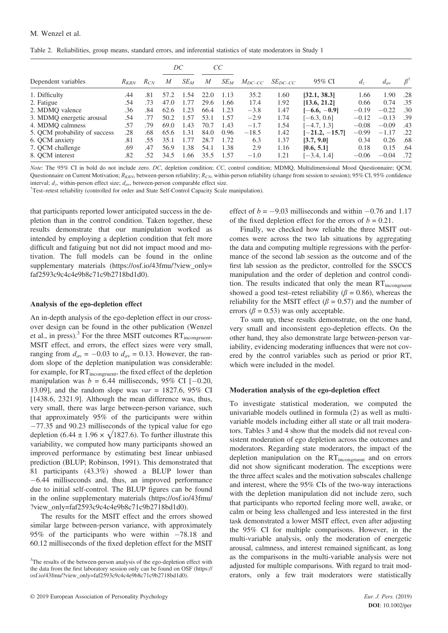Table 2. Reliabilities, group means, standard errors, and inferential statistics of state moderators in Study 1

|                               |           |          |      | DC     |      | CC     |             |              |                  |            |          |     |
|-------------------------------|-----------|----------|------|--------|------|--------|-------------|--------------|------------------|------------|----------|-----|
| Dependent variables           | $R_{KRN}$ | $R_{CN}$ | M    | $SE_M$ | M    | $SE_M$ | $M_{DC-CC}$ | $SE_{DC-CC}$ | 95% CI           | $d_{\tau}$ | $d_{av}$ |     |
| 1. Difficulty                 | .44       | .81      | 57.2 | 1.54   | 22.0 | 1.13   | 35.2        | 1.60         | [32.1, 38.3]     | 1.66       | 1.90     | .28 |
| 2. Fatigue                    | .54       | .73      | 47.0 | 1.77   | 29.6 | 1.66   | 17.4        | 1.92         | [13.6, 21.2]     | 0.66       | 0.74     | .35 |
| 2. MDMQ valence               | .36       | .84      | 62.6 | 1.23   | 66.4 | 1.23   | $-3.8$      | 1.47         | $[-6.6, -0.9]$   | $-0.19$    | $-0.22$  | .30 |
| 3. MDMQ energetic arousal     | .54       | .77      | 50.2 | 1.57   | 53.1 | 1.57   | $-2.9$      | 1.74         | $[-6.3, 0.6]$    | $-0.12$    | $-0.13$  | .39 |
| 4. MDMQ calmness              | .57       | .79      | 69.0 | 1.43   | 70.7 | 1.43   | $-1.7$      | 1.54         | $[-4.7, 1.3]$    | $-0.08$    | $-0.09$  | .43 |
| 5. QCM probability of success | .28       | .68      | 65.6 | 1.31   | 84.0 | 0.96   | $-18.5$     | 1.42         | $[-21.2, -15.7]$ | $-0.99$    | $-1.17$  | .22 |
| 6. OCM anxiety                | .81       | .55      | 35.1 | 1.77   | 28.7 | 1.72   | 6.3         | 1.37         | [3.7, 9.0]       | 0.34       | 0.26     | .68 |
| 7. QCM challenge              | .69       | .47      | 56.9 | 1.38   | 54.1 | 1.38   | 2.9         | 1.16         | [0.6, 5.1]       | 0.18       | 0.15     | .64 |
| 8. OCM interest               | .82       | 52       | 34.5 | 1.66   | 35.5 | 1.57   | $-1.0$      | 1.21         | $[-3.4, 1.4]$    | $-0.06$    | $-0.04$  | .72 |

*Note*: The 95% CI in bold do not include zero. *DC*, depletion condition; *CC*, control condition; MDMQ, Multidimensional Mood Questionnaire; QCM, Questionnaire on Current Motivation; *R<sub>KRN</sub>*, between-person reliability; *R<sub>CN</sub>*, within-person reliability (change from session); 95% CI, 95% confidence interval;  $d_z$ , within-person effect size;  $d_{av}$ , between-person comparable effect size.

Test–retest reliability (controlled for order and State Self-Control Capacity Scale manipulation).

that participants reported lower anticipated success in the depletion than in the control condition. Taken together, these results demonstrate that our manipulation worked as intended by employing a depletion condition that felt more difficult and fatiguing but not did not impact mood and motivation. The full models can be found in the online supplementary materials [\(https://osf.io/43fmu/?view\\_only=](https://osf.io/43fmu/?view_only=faf2593c9c4c4e9b8c71c9b2718bd1d0) [faf2593c9c4c4e9b8c71c9b2718bd1d0\)](https://osf.io/43fmu/?view_only=faf2593c9c4c4e9b8c71c9b2718bd1d0).

#### **Analysis of the ego-depletion effect**

An in-depth analysis of the ego-depletion effect in our crossover design can be found in the other publication (Wenzel et al., in press).<sup>3</sup> For the three MSIT outcomes  $RT_{incongruent}$ , MSIT effect, and errors, the effect sizes were very small, ranging from  $d_{av} = -0.03$  to  $d_{av} = 0.13$ . However, the random slope of the depletion manipulation was considerable: for example, for RT<sub>incongruent</sub>, the fixed effect of the depletion manipulation was  $b = 6.44$  milliseconds, 95% CI [-0.20, 13.09], and the random slope was *var* = 1827.6, 95% CI [1438.6, 2321.9]. Although the mean difference was, thus, very small, there was large between-person variance, such that approximately 95% of the participants were within  $-77.35$  and 90.23 milliseconds of the typical value for ego depletion (6.44  $\pm$  1.96  $\times$   $\sqrt{1827.6}$ ). To further illustrate this variability, we computed how many participants showed an improved performance by estimating best linear unbiased prediction (BLUP; Robinson, 1991). This demonstrated that 81 participants (43.3%) showed a BLUP lower than 6.44 milliseconds and, thus, an improved performance due to initial self-control. The BLUP figures can be found in the online supplementary materials [\(https://osf.io/43fmu/](https://osf.io/43fmu/?view_only=faf2593c9c4c4e9b8c71c9b2718bd1d0) [?view\\_only=faf2593c9c4c4e9b8c71c9b2718bd1d0\)](https://osf.io/43fmu/?view_only=faf2593c9c4c4e9b8c71c9b2718bd1d0).

The results for the MSIT effect and the errors showed similar large between-person variance, with approximately 95% of the participants who were within  $-78.18$  and 60.12 milliseconds of the fixed depletion effect for the MSIT

effect of  $b = -9.03$  milliseconds and within  $-0.76$  and 1.17 of the fixed depletion effect for the errors of  $b = 0.21$ .

Finally, we checked how reliable the three MSIT outcomes were across the two lab situations by aggregating the data and computing multiple regressions with the performance of the second lab session as the outcome and of the first lab session as the predictor, controlled for the SSCCS manipulation and the order of depletion and control condition. The results indicated that only the mean  $RT_{incongruent}$ showed a good test–retest reliability ( $\beta$  = 0.86), whereas the reliability for the MSIT effect ( $\beta$  = 0.57) and the number of errors ( $\beta$  = 0.53) was only acceptable.

To sum up, these results demonstrate, on the one hand, very small and inconsistent ego-depletion effects. On the other hand, they also demonstrate large between-person variability, evidencing moderating influences that were not covered by the control variables such as period or prior RT, which were included in the model.

### **Moderation analysis of the ego-depletion effect**

To investigate statistical moderation, we computed the univariable models outlined in formula (2) as well as multivariable models including either all state or all trait moderators. Tables 3 and 4 show that the models did not reveal consistent moderation of ego depletion across the outcomes and moderators. Regarding state moderators, the impact of the depletion manipulation on the RT<sub>incongruent</sub> and on errors did not show significant moderation. The exceptions were the three affect scales and the motivation subscales challenge and interest, where the 95% CIs of the two-way interactions with the depletion manipulation did not include zero, such that participants who reported feeling more well, awake, or calm or being less challenged and less interested in the first task demonstrated a lower MSIT effect, even after adjusting the 95% CI for multiple comparisons. However, in the multi-variable analysis, only the moderation of energetic arousal, calmness, and interest remained significant, as long as the comparisons in the multi-variable analysis were not adjusted for multiple comparisons. With regard to trait moderators, only a few trait moderators were statistically

<sup>&</sup>lt;sup>3</sup>The results of the between-person analysis of the ego-depletion effect with the data from the first laboratory session only can be found on OSF [\(https://](https://osf.io/43fmu/?view_only=faf2593c9c4c4e9b8c71c9b2718bd1d0) [osf.io/43fmu/?view\\_only=faf2593c9c4c4e9b8c71c9b2718bd1d0\)](https://osf.io/43fmu/?view_only=faf2593c9c4c4e9b8c71c9b2718bd1d0).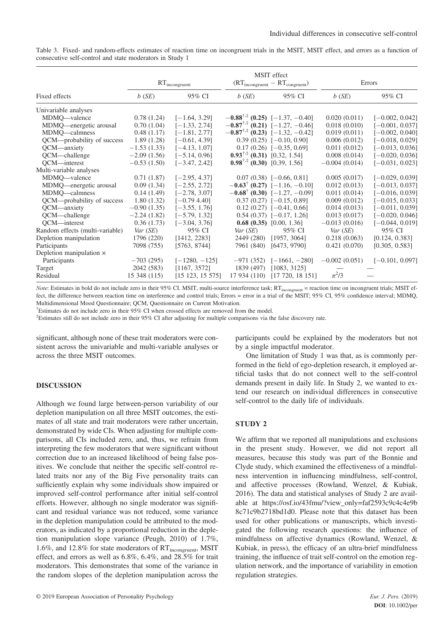|                                 |               | $RT_{incongruent}$ |                                               | <b>MSIT</b> effect<br>$(RT_{\text{incongruent}} - RT_{\text{congruent}})$ |                 | Errors            |
|---------------------------------|---------------|--------------------|-----------------------------------------------|---------------------------------------------------------------------------|-----------------|-------------------|
| Fixed effects                   | $b$ (SE)      | 95% CI             | $b$ (SE)                                      | 95% CI                                                                    | $b$ (SE)        | 95% CI            |
| Univariable analyses            |               |                    |                                               |                                                                           |                 |                   |
| MDMQ—valence                    | 0.78(1.24)    | $[-1.64, 3.29]$    |                                               | $-0.88^{\dagger,\ddagger}$ (0.25) [-1.37, -0.40]                          | 0.020(0.011)    | $[-0.002, 0.042]$ |
| MDMQ—energetic arousal          | 0.70(1.04)    | $[-1.33, 2.74]$    |                                               | $-0.87^{\dagger,\ddagger}$ (0.21) [-1.27, -0.46]                          | 0.018(0.010)    | $[-0.001, 0.037]$ |
| MDMQ—calmness                   | 0.48(1.17)    | $[-1.81, 2.77]$    |                                               | $-0.87^{\dagger,\ddagger}$ (0.23) [-1.32, -0.42]                          | 0.019(0.011)    | $[-0.002, 0.040]$ |
| QCM—probability of success      | 1.89(1.28)    | $[-0.61, 4.39]$    |                                               | $0.39(0.25)$ [-0.10, 0.90]                                                | 0.006(0.012)    | $[-0.018, 0.029]$ |
| QCM—anxiety                     | $-1.53(1.33)$ | $[-4.13, 1.07]$    |                                               | $0.17(0.26)$ [-0.35, 0.69]                                                | 0.011(0.012)    | $[-0.013, 0.036]$ |
| QCM—challenge                   | $-2.09(1.56)$ | $[-5.14, 0.96]$    | $0.93^{\dagger,\ddagger}$ (0.31) [0.32, 1.54] |                                                                           | 0.008(0.014)    | $[-0.020, 0.036]$ |
| OCM-interest                    | $-0.53(1.50)$ | $[-3.47, 2.42]$    | $0.98^{\dagger,\ddagger}$ (0.30) [0.39, 1.56] |                                                                           | $-0.004(0.014)$ | $[-0.031, 0.023]$ |
| Multi-variable analyses         |               |                    |                                               |                                                                           |                 |                   |
| MDMQ-valence                    | 0.71(1.87)    | $[-2.95, 4.37]$    |                                               | $0.07(0.38)$ [-0.66, 0.81]                                                | 0.005(0.017)    | $[-0.029, 0.039]$ |
| MDMQ—energetic arousal          | 0.09(1.34)    | $[-2.55, 2.72]$    |                                               | $-0.63^{\dagger}$ (0.27) [-1.16, -0.10]                                   | 0.012(0.013)    | $[-0.013, 0.037]$ |
| MDMQ—calmness                   | 0.14(1.49)    | $[-2.78, 3.07]$    |                                               | $-0.68^{\dagger}$ (0.30) [-1.27, -0.09]                                   | 0.011(0.014)    | $[-0.016, 0.039]$ |
| QCM—probability of success      | 1.80(1.32)    | $[-0.79, 4.40]$    |                                               | $0.37(0.27)$ [-0.15, 0.89]                                                | 0.009(0.012)    | $[-0.015, 0.033]$ |
| QCM—anxiety                     | $-0.90(1.35)$ | $[-3.55, 1.76]$    |                                               | $0.12(0.27)$ [-0.41, 0.66]                                                | 0.014(0.013)    | $[-0.011, 0.039]$ |
| QCM—challenge                   | $-2.24(1.82)$ | $[-5.79, 1.32]$    |                                               | $0.54(0.37)$ [-0.17, 1.26]                                                | 0.013(0.017)    | $[-0.020, 0.046]$ |
| OCM-interest                    | 0.36(1.73)    | $[-3.04, 3.76]$    |                                               | $0.68(0.35)$ [0.00, 1.36]                                                 | $-0.013(0.016)$ | $[-0.044, 0.019]$ |
| Random effects (multi-variable) | Var(SE)       | 95% CI             | Var(SE)                                       | 95% CI                                                                    | Var(SE)         | 95% CI            |
| Depletion manipulation          | 1796 (220)    | [1412, 2283]       |                                               | 2449 (280) [1957, 3064]                                                   | 0.218(0.063)    | [0.124, 0.383]    |
| Participants                    | 7098 (755)    | [5763, 8744]       |                                               | 7961 (840) [6473, 9790]                                                   | 0.421(0.070)    | [0.305, 0.583]    |
| Depletion manipulation $\times$ |               |                    |                                               |                                                                           |                 |                   |
| Participants                    | $-703(295)$   | $[-1280, -125]$    |                                               | $-971(352)$ [-1661, -280]                                                 | $-0.002(0.051)$ | $[-0.101, 0.097]$ |
| Target                          | 2042 (583)    | [1167, 3572]       | 1839 (497)                                    | [1083, 3125]                                                              |                 |                   |
| Residual                        | 15 348 (115)  | [15 123, 15 575]   | 17 934 (110)                                  | [17 720, 18 151]                                                          | $\pi^2/3$       |                   |

Table 3. Fixed- and random-effects estimates of reaction time on incongruent trials in the MSIT, MSIT effect, and errors as a function of consecutive self-control and state moderators in Study 1

*Note*: Estimates in bold do not include zero in their 95% CI. MSIT, multi-source interference task; RT<sub>incongruent</sub> = reaction time on incongruent trials; MSIT effect, the difference between reaction time on interference and control trials; Errors = error in a trial of the MSIT; 95% CI, 95% confidence interval; MDMQ, Multidimensional Mood Questionnaire; QCM, Questionnaire on Current Motivation.

† Estimates do not include zero in their 95% CI when crossed effects are removed from the model.

‡ Estimates still do not include zero in their 95% CI after adjusting for multiple comparisons via the false discovery rate.

significant, although none of these trait moderators were consistent across the univariable and multi-variable analyses or across the three MSIT outcomes.

# **DISCUSSION**

Although we found large between-person variability of our depletion manipulation on all three MSIT outcomes, the estimates of all state and trait moderators were rather uncertain, demonstrated by wide CIs. When adjusting for multiple comparisons, all CIs included zero, and, thus, we refrain from interpreting the few moderators that were significant without correction due to an increased likelihood of being false positives. We conclude that neither the specific self-control related traits nor any of the Big Five personality traits can sufficiently explain why some individuals show impaired or improved self-control performance after initial self-control efforts. However, although no single moderator was significant and residual variance was not reduced, some variance in the depletion manipulation could be attributed to the moderators, as indicated by a proportional reduction in the depletion manipulation slope variance (Peugh, 2010) of 1.7%, 1.6%, and 12.8% for state moderators of RT<sub>incongruent</sub>, MSIT effect, and errors as well as 6.8%, 6.4%, and 28.5% for trait moderators. This demonstrates that some of the variance in the random slopes of the depletion manipulation across the participants could be explained by the moderators but not by a single impactful moderator.

One limitation of Study 1 was that, as is commonly performed in the field of ego-depletion research, it employed artificial tasks that do not connect well to the self-control demands present in daily life. In Study 2, we wanted to extend our research on individual differences in consecutive self-control to the daily life of individuals.

# **STUDY 2**

We affirm that we reported all manipulations and exclusions in the present study. However, we did not report all measures, because this study was part of the Bonnie and Clyde study, which examined the effectiveness of a mindfulness intervention in influencing mindfulness, self-control, and affective processes (Rowland, Wenzel, & Kubiak, 2016). The data and statistical analyses of Study 2 are available at [https://osf.io/43fmu/?view\\_only=faf2593c9c4c4e9b](https://osf.io/43fmu/?view_only=faf2593c9c4c4e9b8c71c9b2718bd1d0) [8c71c9b2718bd1d0.](https://osf.io/43fmu/?view_only=faf2593c9c4c4e9b8c71c9b2718bd1d0) Please note that this dataset has been used for other publications or manuscripts, which investigated the following research questions: the influence of mindfulness on affective dynamics (Rowland, Wenzel, & Kubiak, in press), the efficacy of an ultra-brief mindfulness training, the influence of trait self-control on the emotion regulation network, and the importance of variability in emotion regulation strategies.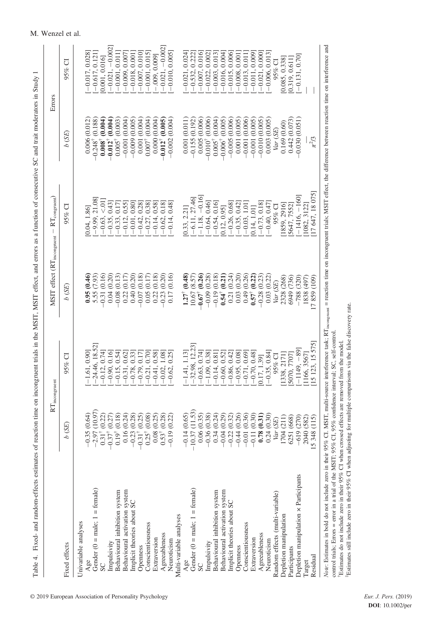|                                       |                               | $\mathcal{R}\mathcal{T}_{\text{incongruent}}$ |                               | $MSTI$ effect ( $RT_{\text{incongment}} - RT_{\text{congruent}}$ ) |                                                          | Errors                                  |
|---------------------------------------|-------------------------------|-----------------------------------------------|-------------------------------|--------------------------------------------------------------------|----------------------------------------------------------|-----------------------------------------|
| Fixed effects                         | $b$ (SE)                      | $95%$ Cl                                      | b(SE)                         | $95%$ Cl                                                           | b(SE)                                                    | $95\%$ CI                               |
| Univariable analyses                  |                               |                                               |                               |                                                                    |                                                          |                                         |
| Age                                   | $-0.35(0.64)$                 | $-1.61, 0.90$                                 | 0.95(0.46)                    | 0.04, 1.86                                                         | 0.006 (0.012)                                            | $-0.017, 0.028$                         |
| Gender ( $0 =$ male; $1 =$ female)    | (10.97)<br>$-2.97$            | $[-24.46, 18.52]$                             |                               | $[-9.99, 21.08]$                                                   |                                                          | $-0.617, 0.121$                         |
| SC                                    | (0.22)                        | $-0.12, 0.74$                                 | $5.55(7.93)$<br>-0.31 (0.16)  | $-0.63, < 01$                                                      | $-0.248^{\dagger}$ (0.188)<br>0.008 <sup>†</sup> (0.004) | 0.001, 0.016                            |
| Impulsivity                           | (0.27)<br>$-0.31^{\dagger}$ ( | $[-0.90, 0.16]$                               | 0.04(0.20)                    | $[-0.35, 0.43]$                                                    | $-0.012$ <sup>†</sup> $(0.004)$                          | $-0.021, -0.002$                        |
| Behavioural inhibition system         | (0.18)<br>$0.19^\dagger$ (    | $[-0.15, 0.54]$                               | $-0.08$ (0.13)                | $-0.33, 0.17$                                                      | $0.005^{\dagger}$ $(0.003)$                              | $-0.001, 0.011$                         |
| Behavioural activation system         | 0.16(0.24)                    | $-0.31, 0.62$                                 | 0.22(0.17)                    | $-0.12, 0.55$                                                      | $-0.001(0.004)$                                          | $-0.009, 0.007$                         |
| Implicit theories about SC            | (0.28)<br>$-0.23$             | $-0.78, 0.33$                                 | 0.40(0.20)                    | $[-0.01, 0.80]$                                                    | $-0.009$ (0.005)                                         | $-0.018, 0.001$                         |
| Openness                              | (0.25)<br>$-0.31^{\dagger}$   | $-0.79, 0.17$                                 | $-0.07(0.18)$                 | $[-0.42, 0.28]$                                                    | 0.001(0.004)                                             | $-0.007, 0.010$                         |
| Conscientiousness                     | (0.08)<br>$0.25^{\dagger}$    | $-0.21, 0.70$                                 | 0.05(0.17)                    | $-0.27, 0.38$                                                      | $0.007^{\dagger}$ $(0.004)$                              | $-0.001, 0.015$                         |
| Extraversion                          | 0.08(0.25)                    | $-0.41, 0.58$                                 | 0.22(0.18)                    | $[-0.14, 0.58]$                                                    | 0.000(0.004)                                             | $-0.009, 0.009$ ]<br>$-0.021, -0.002$ ] |
| Agreeableness                         | (0.28)<br>$0.53^{\dagger}$    | $-0.02, 1.08$                                 | $-0.23$ $(0.20)$              | $-0.62, 0.18$                                                      | $-0.012^{\dagger} (0.005)$                               |                                         |
| Neuroticism                           | $-0.19(0.22)$                 | 0.25<br>$-0.62,$<br>J.                        | 0.17(0.16)                    | $-0.14, 0.48$                                                      | $-0.002(0.004)$                                          | $-0.010, 0.005$                         |
| Multi-variable analyses               |                               |                                               |                               |                                                                    |                                                          |                                         |
| Age                                   | $-0.14(0.65)$                 | $-1.41, 1.13$                                 | $1.27^{\dagger}$ (0.48)       | 0.33, 2.21                                                         | 0.001(0.011)                                             | $-0.021, 0.024$                         |
| Gender $(0 = male; 1 = female)$       | $-10.37(11.53)$               | $-32.98, 12.23$                               | 10.67 (8.57)                  | $-6.11, 27.46$                                                     | $-0.155(0.192)$                                          | $[-0.532, 0.222]$<br>$[-0.007, 0.016]$  |
| SC                                    | 0.06(0.35)                    | $-0.63, 0.74$                                 | $-0.67$ <sup>†</sup> $(0.26)$ | $-1.18, -0.16$                                                     | 0.005(0.006)                                             |                                         |
| Impulsivity                           | $-0.36(0.38)$                 | $-1.09, 0.38$                                 | $-0.09$ $(0.28)$              | $-0.64, 0.46$                                                      | $-0.010$ <sup>†</sup> $(0.006)$                          | $-0.022, 0.002$                         |
| Behavioural inhibition system         | 0.34(0.24)                    | $-0.14, 0.81$                                 | $-0.19(0.18)$                 | $-0.54, 0.16$                                                      | $0.005^{\dagger}$ $(0.004)$                              | $-0.003, 0.013$                         |
| Behavioural activation system         | $-0.04(0.29)$                 | $-0.60, 0.52$                                 | $0.54$ <sup>†</sup> $(0.21)$  | 0.12, 0.95                                                         | $-0.006^{\dagger} (0.005)$                               | $-0.016, 0.004$                         |
| Implicit theories about SC            | (0.32)<br>$-0.22$             | $-0.86, 0.42$                                 | 0.21(0.24)                    | $-0.26, 0.68$                                                      | $-0.005(0.006)$                                          | $-0.015, 0.006$                         |
| Openness                              | $-0.44(0.26)$                 | $-0.95, 0.08$                                 | 0.03(0.20)                    | $-0.35, 0.42$                                                      | 0.001 (0.005)                                            | $-0.008, 0.001$                         |
| <b>Conscientiousness</b>              | (0.36)<br>$-0.01$             | $-0.71, 0.69$                                 | 0.49(0.26)                    | $-0.03, 1.01$                                                      | $-0.001(0.006)$                                          | $-0.013, 0.011$                         |
| Extraversion                          | (0.30)<br>$-0.11$             | $-0.70, 0.48$                                 | $0.57^{\dagger}$ (0.22)       | $0.14, 1.01$ ]                                                     | $-0.001(0.005)$                                          | $-0.011, 0.009$                         |
| Agreeableness                         | (0.31)<br>0.78 <sub>0</sub>   | [0.17, 1.39]                                  | 0.28(0.23)                    | $-0.73, 0.18$                                                      | $-0.010(0.005)$                                          | $-0.021, 0.000$                         |
| Neuroticism                           | 0.24(0.30)                    | $-0.35, 0.84$                                 | 0.03 (0.22)                   | $-0.40, 0.47$                                                      | 0.003(0.005)                                             | $-0.006, 0.013$                         |
| Random effects (multi-variable)       | (SE)<br>Var (                 | 95% CI                                        | Var (SE)                      | 95% CI                                                             | Var(SE)                                                  | 95% CI                                  |
| Depletion manipulation                | (211)<br>1704                 | 338, 2171]<br>[1338, 2171]<br>[5070, 7707]    | 2328 (268)                    | [1859, 2916]                                                       | 0.169(0.60)                                              | 0.085, 0.338                            |
| Participants                          | 6251 (668)                    |                                               | 6949 (736)                    | 5647, 7552]                                                        | 0.442(0.073)                                             | [0.319, 0.611]                          |
| Depletion manipulation x Participants | (270)<br>$-619$               | $-1149, -89$                                  | $-788(320)$                   | $-1416, -160$                                                      | $-0.030(0.051)$                                          | $-0.131, 0.70$                          |
| Target                                | 2040 (582)                    | 166, 3567]                                    | 1838 (497)                    | 1082, 3122]                                                        |                                                          |                                         |
| Residual                              | 5 348 (115)                   | 5 123, 15 575                                 | [7 859 (109)                  | 17 647, 18 075                                                     | $\pi^2/3$                                                |                                         |

Table 4. Fixed- and random-effects estimates of reaction time on incongruent trials in the MSIT, MSIT effect, and errors as a function of consecutive SC and trait moderators in Study 1 Table 4. Fixed- and random-effects estimates of reaction time on incongruent trials in the MSIT, MSIT effect, and errors as a function of consecutive SC and trait moderators in Study 1 Note: Estimates in bold do not include zero in their 95% CI. MSIT, multi-source interference task; RT<sub>incongnent</sub> = reaction time on incongnent trials; MSIT effect, the difference between reaction time on interference and Note: Estimates in bold do not include zero in their 95% CI. MSIT, multi-source interference task; RT<sub>incongruent</sub> = reaction time on incongruent trials; MSIT effect, the difference between reaction time on interference an control trials; Errors = error in a trial of the MSIT; 95% CI, 95% confidence interval; SC, self-control. control trials; Errors = error in a trial of the MSIT; 95% CI, 95% confidence interval; SC, self-control.<br>†Estimates do not include zero in their 95% CI when crossed effects are removed from the model. Estimates do not include zero in their 95% CI when crossed effects are removed from the model.

Estimates still include zero in their 95% CI when adjusting for multiple comparisons via the false discovery rate. ‡Estimates still include zero in their 95% CI when adjusting for multiple comparisons via the false discovery rate.

M. Wenzel et al.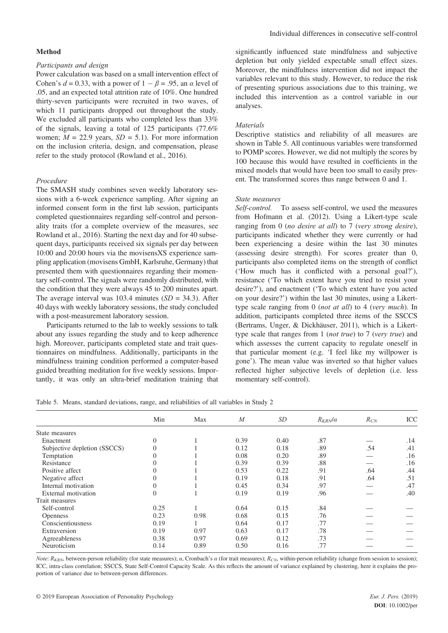#### **Method**

### *Participants and design*

Power calculation was based on a small intervention effect of Cohen's  $d = 0.33$ , with a power of  $1 - \beta = .95$ , an  $\alpha$  level of .05, and an expected total attrition rate of 10%. One hundred thirty-seven participants were recruited in two waves, of which 11 participants dropped out throughout the study. We excluded all participants who completed less than 33% of the signals, leaving a total of 125 participants (77.6% women;  $M = 22.9$  years,  $SD = 5.1$ ). For more information on the inclusion criteria, design, and compensation, please refer to the study protocol (Rowland et al., 2016).

#### *Procedure*

The SMASH study combines seven weekly laboratory sessions with a 6-week experience sampling. After signing an informed consent form in the first lab session, participants completed questionnaires regarding self-control and personality traits (for a complete overview of the measures, see Rowland et al., 2016). Starting the next day and for 40 subsequent days, participants received six signals per day between 10:00 and 20:00 hours via the movisensXS experience sampling application (movisens GmbH, Karlsruhe, Germany) that presented them with questionnaires regarding their momentary self-control. The signals were randomly distributed, with the condition that they were always 45 to 200 minutes apart. The average interval was 103.4 minutes (*SD* = 34.3). After 40 days with weekly laboratory sessions, the study concluded with a post-measurement laboratory session.

Participants returned to the lab to weekly sessions to talk about any issues regarding the study and to keep adherence high. Moreover, participants completed state and trait questionnaires on mindfulness. Additionally, participants in the mindfulness training condition performed a computer-based guided breathing meditation for five weekly sessions. Importantly, it was only an ultra-brief meditation training that significantly influenced state mindfulness and subjective depletion but only yielded expectable small effect sizes. Moreover, the mindfulness intervention did not impact the variables relevant to this study. However, to reduce the risk of presenting spurious associations due to this training, we included this intervention as a control variable in our analyses.

#### *Materials*

Descriptive statistics and reliability of all measures are shown in Table 5. All continuous variables were transformed to POMP scores. However, we did not multiply the scores by 100 because this would have resulted in coefficients in the mixed models that would have been too small to easily present. The transformed scores thus range between 0 and 1.

#### *State measures*

*Self-control.* To assess self-control, we used the measures from Hofmann et al. (2012). Using a Likert-type scale ranging from 0 (*no desire at all*) to 7 (*very strong desire*), participants indicated whether they were currently or had been experiencing a desire within the last 30 minutes (assessing desire strength). For scores greater than 0, participants also completed items on the strength of conflict ('How much has it conflicted with a personal goal?'), resistance ('To which extent have you tried to resist your desire?'), and enactment ('To which extent have you acted on your desire?') within the last 30 minutes, using a Likerttype scale ranging from 0 (*not at all*) to 4 (*very much*). In addition, participants completed three items of the SSCCS (Bertrams, Unger, & Dickhäuser, 2011), which is a Likerttype scale that ranges from 1 (*not true*) to 7 (*very true*) and which assesses the current capacity to regulate oneself in that particular moment (e.g. 'I feel like my willpower is gone'). The mean value was inverted so that higher values reflected higher subjective levels of depletion (i.e. less momentary self-control).

Table 5. Means, standard deviations, range, and reliabilities of all variables in Study 2

|                              | Min      | Max  | $\boldsymbol{M}$ | SD   | $R_{KRN}/\alpha$ | $R_{CN}$ | ICC |
|------------------------------|----------|------|------------------|------|------------------|----------|-----|
| State measures               |          |      |                  |      |                  |          |     |
| Enactment                    | $\Omega$ |      | 0.39             | 0.40 | .87              |          | .14 |
| Subjective depletion (SSCCS) | $\Omega$ |      | 0.12             | 0.18 | .89              | .54      | .41 |
| Temptation                   | $\Omega$ |      | 0.08             | 0.20 | .89              |          | .16 |
| Resistance                   | $\Omega$ |      | 0.39             | 0.39 | .88              |          | .16 |
| Positive affect              | $\theta$ |      | 0.53             | 0.22 | .91              | .64      | .44 |
| Negative affect              | $\theta$ |      | 0.19             | 0.18 | .91              | .64      | .51 |
| Internal motivation          | $\Omega$ |      | 0.45             | 0.34 | .97              |          | .47 |
| External motivation          | $\Omega$ |      | 0.19             | 0.19 | .96              |          | .40 |
| Trait measures               |          |      |                  |      |                  |          |     |
| Self-control                 | 0.25     |      | 0.64             | 0.15 | .84              |          |     |
| <b>Openness</b>              | 0.23     | 0.98 | 0.68             | 0.15 | .76              |          |     |
| Conscientiousness            | 0.19     |      | 0.64             | 0.17 | .77              |          |     |
| Extraversion                 | 0.19     | 0.97 | 0.63             | 0.17 | .78              |          |     |
| Agreeableness                | 0.38     | 0.97 | 0.69             | 0.12 | .73              |          |     |
| Neuroticism                  | 0.14     | 0.89 | 0.50             | 0.16 | .77              |          |     |
|                              |          |      |                  |      |                  |          |     |

*Note*:  $R_{KRN}$ , between-person reliability (for state measures); *a*, Cronbach's *a* (for trait measures);  $R_{CN}$ , within-person reliability (change from session to session); ICC, intra-class correlation; SSCCS, State Self-Control Capacity Scale. As this reflects the amount of variance explained by clustering, here it explains the proportion of variance due to between-person differences.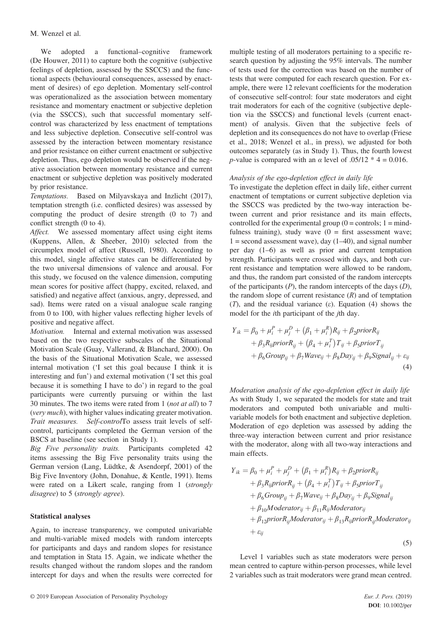We adopted a functional–cognitive framework (De Houwer, 2011) to capture both the cognitive (subjective feelings of depletion, assessed by the SSCCS) and the functional aspects (behavioural consequences, assessed by enactment of desires) of ego depletion. Momentary self-control was operationalized as the association between momentary resistance and momentary enactment or subjective depletion (via the SSCCS), such that successful momentary selfcontrol was characterized by less enactment of temptations and less subjective depletion. Consecutive self-control was assessed by the interaction between momentary resistance and prior resistance on either current enactment or subjective depletion. Thus, ego depletion would be observed if the negative association between momentary resistance and current enactment or subjective depletion was positively moderated by prior resistance.

*Temptations.* Based on Milyavskaya and Inzlicht (2017), temptation strength (i.e. conflicted desires) was assessed by computing the product of desire strength (0 to 7) and conflict strength (0 to 4).

*Affect.* We assessed momentary affect using eight items (Kuppens, Allen, & Sheeber, 2010) selected from the circumplex model of affect (Russell, 1980). According to this model, single affective states can be differentiated by the two universal dimensions of valence and arousal. For this study, we focused on the valence dimension, computing mean scores for positive affect (happy, excited, relaxed, and satisfied) and negative affect (anxious, angry, depressed, and sad). Items were rated on a visual analogue scale ranging from 0 to 100, with higher values reflecting higher levels of positive and negative affect.

*Motivation.* Internal and external motivation was assessed based on the two respective subscales of the Situational Motivation Scale (Guay, Vallerand, & Blanchard, 2000). On the basis of the Situational Motivation Scale, we assessed internal motivation ('I set this goal because I think it is interesting and fun') and external motivation ('I set this goal because it is something I have to do') in regard to the goal participants were currently pursuing or within the last 30 minutes. The two items were rated from 1 (*not at all*) to 7 (*very much*), with higher values indicating greater motivation. *Trait measures. Self-control*To assess trait levels of selfcontrol, participants completed the German version of the BSCS at baseline (see section in Study 1).

*Big Five personality traits.* Participants completed 42 items assessing the Big Five personality traits using the German version (Lang, Lüdtke, & Asendorpf, 2001) of the Big Five Inventory (John, Donahue, & Kentle, 1991). Items were rated on a Likert scale, ranging from 1 (*strongly disagree*) to 5 (*strongly agree*).

### **Statistical analyses**

Again, to increase transparency, we computed univariable and multi-variable mixed models with random intercepts for participants and days and random slopes for resistance and temptation in Stata 15. Again, we indicate whether the results changed without the random slopes and the random intercept for days and when the results were corrected for

multiple testing of all moderators pertaining to a specific research question by adjusting the 95% intervals. The number of tests used for the correction was based on the number of tests that were computed for each research question. For example, there were 12 relevant coefficients for the moderation of consecutive self-control: four state moderators and eight trait moderators for each of the cognitive (subjective depletion via the SSCCS) and functional levels (current enactment) of analysis. Given that the subjective feels of depletion and its consequences do not have to overlap (Friese et al., 2018; Wenzel et al., in press), we adjusted for both outcomes separately (as in Study 1). Thus, the fourth lowest *p*-value is compared with an  $\alpha$  level of .05/12  $*$  4 = 0.016.

### *Analysis of the ego-depletion effect in daily life*

To investigate the depletion effect in daily life, either current enactment of temptations or current subjective depletion via the SSCCS was predicted by the two-way interaction between current and prior resistance and its main effects, controlled for the experimental group  $(0 =$  controls;  $1 =$  mindfulness training), study wave  $(0 =$  first assessment wave;  $1 =$  second assessment wave), day  $(1-40)$ , and signal number per day (1–6) as well as prior and current temptation strength. Participants were crossed with days, and both current resistance and temptation were allowed to be random, and thus, the random part consisted of the random intercepts of the participants (*P*), the random intercepts of the days (*D*), the random slope of current resistance  $(R)$  and of temptation (*T*), and the residual variance (*ε*). Equation (4) shows the model for the *i*th participant of the *j*th day.

$$
Y_{ik} = \beta_0 + \mu_i^P + \mu_j^D + (\beta_1 + \mu_i^R)R_{ij} + \beta_2 \text{prior} R_{ij}
$$
  
+  $\beta_3 R_{ij} \text{prior} R_{ij} + (\beta_4 + \mu_i^T) T_{ij} + \beta_5 \text{prior} T_{ij}$   
+  $\beta_6 \text{Group}_{ij} + \beta_7 \text{Wave}_{ij} + \beta_8 \text{Day}_{ij} + \beta_9 \text{Signal}_{ij} + \varepsilon_{ij}$   
(4)

*Moderation analysis of the ego-depletion effect in daily life* As with Study 1, we separated the models for state and trait moderators and computed both univariable and multivariable models for both enactment and subjective depletion. Moderation of ego depletion was assessed by adding the three-way interaction between current and prior resistance with the moderator, along with all two-way interactions and main effects.

$$
Y_{ik} = \beta_0 + \mu_i^P + \mu_j^D + (\beta_1 + \mu_i^R)R_{ij} + \beta_2 priorR_{ij} + \beta_3 R_{ij} priorR_{ij} + (\beta_4 + \mu_i^T)T_{ij} + \beta_5 priorT_{ij} + \beta_6 Group_{ij} + \beta_7 Wave_{ij} + \beta_8 Day_{ij} + \beta_9 Signal_{ij} + \beta_{10}Modern{i} + \beta_{11}R_{ij}Modern{i} + \beta_{12}priorR_{ij}Modern{i} + \beta_{13}R_{ij}priorR_{ij}Modern{i}
$$
\n
$$
+ \varepsilon_{ij}
$$
\n(5)

Level 1 variables such as state moderators were person mean centred to capture within-person processes, while level 2 variables such as trait moderators were grand mean centred.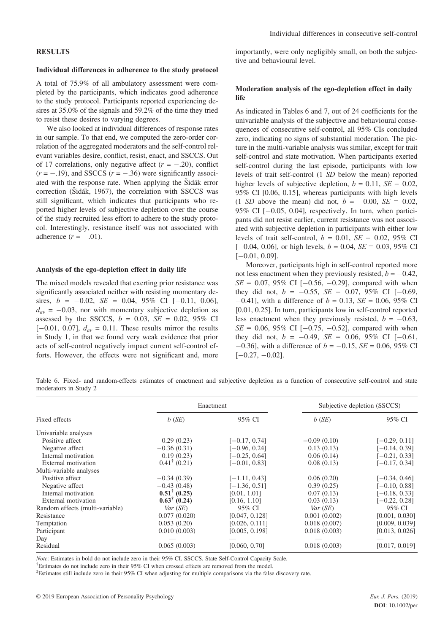### **RESULTS**

### **Individual differences in adherence to the study protocol**

A total of 75.9% of all ambulatory assessment were completed by the participants, which indicates good adherence to the study protocol. Participants reported experiencing desires at 35.0% of the signals and 59.2% of the time they tried to resist these desires to varying degrees.

We also looked at individual differences of response rates in our sample. To that end, we computed the zero-order correlation of the aggregated moderators and the self-control relevant variables desire, conflict, resist, enact, and SSCCS. Out of 17 correlations, only negative affect  $(r = -.20)$ , conflict  $(r = -.19)$ , and SSCCS  $(r = -.36)$  were significantly associated with the response rate. When applying the Šidák error correction (Šidák, 1967), the correlation with SSCCS was still significant, which indicates that participants who reported higher levels of subjective depletion over the course of the study recruited less effort to adhere to the study protocol. Interestingly, resistance itself was not associated with adherence  $(r = -.01)$ .

#### **Analysis of the ego-depletion effect in daily life**

The mixed models revealed that exerting prior resistance was significantly associated neither with resisting momentary desires,  $b = -0.02$ ,  $SE = 0.04$ ,  $95\%$  CI  $[-0.11, 0.06]$ ,  $d_{av} = -0.03$ , nor with momentary subjective depletion as assessed by the SSCCS,  $b = 0.03$ ,  $SE = 0.02$ ,  $95\%$  CI  $[-0.01, 0.07]$ ,  $d_{av} = 0.11$ . These results mirror the results in Study 1, in that we found very weak evidence that prior acts of self-control negatively impact current self-control efforts. However, the effects were not significant and, more importantly, were only negligibly small, on both the subjective and behavioural level.

### **Moderation analysis of the ego-depletion effect in daily life**

As indicated in Tables 6 and 7, out of 24 coefficients for the univariable analysis of the subjective and behavioural consequences of consecutive self-control, all 95% CIs concluded zero, indicating no signs of substantial moderation. The picture in the multi-variable analysis was similar, except for trait self-control and state motivation. When participants exerted self-control during the last episode, participants with low levels of trait self-control (1 *SD* below the mean) reported higher levels of subjective depletion,  $b = 0.11$ ,  $SE = 0.02$ , 95% CI [0.06, 0.15], whereas participants with high levels (1 *SD* above the mean) did not,  $b = -0.00$ ,  $SE = 0.02$ , 95% CI  $[-0.05, 0.04]$ , respectively. In turn, when participants did not resist earlier, current resistance was not associated with subjective depletion in participants with either low levels of trait self-control, *b* = 0.01, *SE =* 0.02, 95% CI  $[-0.04, 0.06]$ , or high levels,  $b = 0.04$ ,  $SE = 0.03$ , 95% CI  $[-0.01, 0.09]$ .

Moreover, participants high in self-control reported more not less enactment when they previously resisted,  $b = -0.42$ ,  $SE = 0.07, 95\% \text{ CI } [-0.56, -0.29]$ , compared with when they did not,  $b = -0.55$ ,  $SE = 0.07$ , 95% CI  $[-0.69]$ ,  $-0.41$ ], with a difference of  $b = 0.13$ ,  $SE = 0.06$ , 95% CI [0.01, 0.25]. In turn, participants low in self-control reported less enactment when they previously resisted,  $b = -0.63$ ,  $SE = 0.06, 95\% \text{ CI } [-0.75, -0.52]$ , compared with when they did not,  $b = -0.49$ ,  $SE = 0.06$ ,  $95\%$  CI  $[-0.61]$ ,  $-0.36$ ], with a difference of  $b = -0.15$ , *SE* = 0.06, 95% CI  $[-0.27, -0.02]$ .

Table 6. Fixed- and random-effects estimates of enactment and subjective depletion as a function of consecutive self-control and state moderators in Study 2

|                                 |                         | Enactment       |               | Subjective depletion (SSCCS) |
|---------------------------------|-------------------------|-----------------|---------------|------------------------------|
| Fixed effects                   | b(SE)                   | 95% CI          | $b$ (SE)      | 95% CI                       |
| Univariable analyses            |                         |                 |               |                              |
| Positive affect                 | 0.29(0.23)              | $[-0.17, 0.74]$ | $-0.09(0.10)$ | $[-0.29, 0.11]$              |
| Negative affect                 | $-0.36(0.31)$           | [-0.96, 0.24]   | 0.13(0.13)    | $[-0.14, 0.39]$              |
| Internal motivation             | 0.19(0.23)              | $[-0.25, 0.64]$ | 0.06(0.14)    | $[-0.21, 0.33]$              |
| External motivation             | $0.41^{\dagger}$ (0.21) | $[-0.01, 0.83]$ | 0.08(0.13)    | $[-0.17, 0.34]$              |
| Multi-variable analyses         |                         |                 |               |                              |
| Positive affect                 | $-0.34(0.39)$           | $[-1.11, 0.43]$ | 0.06(0.20)    | $[-0.34, 0.46]$              |
| Negative affect                 | $-0.43(0.48)$           | $[-1.36, 0.51]$ | 0.39(0.25)    | $[-0.10, 0.88]$              |
| Internal motivation             | $0.51^{\dagger}$ (0.25) | [0.01, 1.01]    | 0.07(0.13)    | $[-0.18, 0.33]$              |
| External motivation             | $0.63^{\dagger}$ (0.24) | [0.16, 1.10]    | 0.03(0.13)    | $[-0.22, 0.28]$              |
| Random effects (multi-variable) | Var(SE)                 | 95% CI          | Var(SE)       | 95% CI                       |
| Resistance                      | 0.077(0.020)            | [0.047, 0.128]  | 0.001(0.002)  | [0.001, 0.030]               |
| Temptation                      | 0.053(0.20)             | [0.026, 0.111]  | 0.018(0.007)  | [0.009, 0.039]               |
| Participant                     | 0.010(0.003)            | [0.005, 0.198]  | 0.018(0.003)  | [0.013, 0.026]               |
| Day                             |                         |                 |               |                              |
| Residual                        | 0.065(0.003)            | [0.060, 0.70]   | 0.018(0.003)  | [0.017, 0.019]               |

*Note*: Estimates in bold do not include zero in their 95% CI. SSCCS, State Self-Control Capacity Scale.

Estimates do not include zero in their 95% CI when crossed effects are removed from the model.

‡ Estimates still include zero in their 95% CI when adjusting for multiple comparisons via the false discovery rate.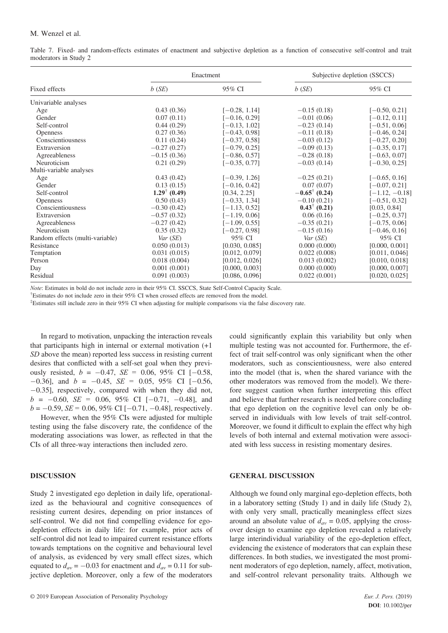#### M. Wenzel et al.

Table 7. Fixed- and random-effects estimates of enactment and subjective depletion as a function of consecutive self-control and trait moderators in Study 2

|                                 |                         | Enactment       |                          | Subjective depletion (SSCCS) |
|---------------------------------|-------------------------|-----------------|--------------------------|------------------------------|
| Fixed effects                   | $b$ (SE)                | 95% CI          | $b$ (SE)                 | 95% CI                       |
| Univariable analyses            |                         |                 |                          |                              |
| Age                             | 0.43(0.36)              | $[-0.28, 1.14]$ | $-0.15(0.18)$            | $[-0.50, 0.21]$              |
| Gender                          | 0.07(0.11)              | $[-0.16, 0.29]$ | $-0.01(0.06)$            | $[-0.12, 0.11]$              |
| Self-control                    | 0.44(0.29)              | $[-0.13, 1.02]$ | $-0.23(0.14)$            | $[-0.51, 0.06]$              |
| <b>Openness</b>                 | 0.27(0.36)              | $[-0.43, 0.98]$ | $-0.11(0.18)$            | $[-0.46, 0.24]$              |
| Conscientiousness               | 0.11(0.24)              | $[-0.37, 0.58]$ | $-0.03(0.12)$            | $[-0.27, 0.20]$              |
| Extraversion                    | $-0.27(0.27)$           | $[-0.79, 0.25]$ | $-0.09(0.13)$            | $[-0.35, 0.17]$              |
| Agreeableness                   | $-0.15(0.36)$           | $[-0.86, 0.57]$ | $-0.28(0.18)$            | $[-0.63, 0.07]$              |
| Neuroticism                     | 0.21(0.29)              | $[-0.35, 0.77]$ | $-0.03(0.14)$            | $[-0.30, 0.25]$              |
| Multi-variable analyses         |                         |                 |                          |                              |
| Age                             | 0.43(0.42)              | $[-0.39, 1.26]$ | $-0.25(0.21)$            | $[-0.65, 0.16]$              |
| Gender                          | 0.13(0.15)              | $[-0.16, 0.42]$ | 0.07(0.07)               | $[-0.07, 0.21]$              |
| Self-control                    | $1.29^{\dagger}$ (0.49) | [0.34, 2.25]    | $-0.65^{\dagger}$ (0.24) | $[-1.12, -0.18]$             |
| <b>Openness</b>                 | 0.50(0.43)              | $[-0.33, 1.34]$ | $-0.10(0.21)$            | $[-0.51, 0.32]$              |
| Conscientiousness               | $-0.30(0.42)$           | $[-1.13, 0.52]$ | $0.43^{\dagger}$ (0.21)  | [0.03, 0.84]                 |
| Extraversion                    | $-0.57(0.32)$           | $[-1.19, 0.06]$ | 0.06(0.16)               | $[-0.25, 0.37]$              |
| Agreeableness                   | $-0.27(0.42)$           | $[-1.09, 0.55]$ | $-0.35(0.21)$            | $[-0.75, 0.06]$              |
| Neuroticism                     | 0.35(0.32)              | $[-0.27, 0.98]$ | $-0.15(0.16)$            | $[-0.46, 0.16]$              |
| Random effects (multi-variable) | Var(SE)                 | 95% CI          | Var(SE)                  | 95% CI                       |
| Resistance                      | 0.050(0.013)            | [0.030, 0.085]  | 0.000(0.000)             | [0.000, 0.001]               |
| Temptation                      | 0.031(0.015)            | [0.012, 0.079]  | 0.022(0.008)             | [0.011, 0.046]               |
| Person                          | 0.018(0.004)            | [0.012, 0.026]  | 0.013(0.002)             | [0.010, 0.018]               |
| Day                             | 0.001(0.001)            | [0.000, 0.003]  | 0.000(0.000)             | [0.000, 0.007]               |
| Residual                        | 0.091(0.003)            | [0.086, 0.096]  | 0.022(0.001)             | [0.020, 0.025]               |

*Note*: Estimates in bold do not include zero in their 95% CI. SSCCS, State Self-Control Capacity Scale.

 $\text{F}$  Estimates do not include zero in their 95% CI when crossed effects are removed from the model.

‡ Estimates still include zero in their 95% CI when adjusting for multiple comparisons via the false discovery rate.

In regard to motivation, unpacking the interaction reveals that participants high in internal or external motivation (+1 *SD* above the mean) reported less success in resisting current desires that conflicted with a self-set goal when they previously resisted,  $b = -0.47$ ,  $SE = 0.06$ ,  $95\%$  CI  $[-0.58$ ,  $-0.36$ ], and  $b = -0.45$ ,  $SE = 0.05$ ,  $95\%$  CI [-0.56,  $-0.35$ ], respectively, compared with when they did not,  $b = -0.60$ ,  $SE = 0.06$ ,  $95\%$  CI  $[-0.71, -0.48]$ , and  $b = -0.59$ , *SE* = 0.06, 95% CI [-0.71, -0.48], respectively.

However, when the 95% CIs were adjusted for multiple testing using the false discovery rate, the confidence of the moderating associations was lower, as reflected in that the CIs of all three-way interactions then included zero.

### **DISCUSSION**

Study 2 investigated ego depletion in daily life, operationalized as the behavioural and cognitive consequences of resisting current desires, depending on prior instances of self-control. We did not find compelling evidence for egodepletion effects in daily life: for example, prior acts of self-control did not lead to impaired current resistance efforts towards temptations on the cognitive and behavioural level of analysis, as evidenced by very small effect sizes, which equated to  $d_{av} = -0.03$  for enactment and  $d_{av} = 0.11$  for subjective depletion. Moreover, only a few of the moderators

could significantly explain this variability but only when multiple testing was not accounted for. Furthermore, the effect of trait self-control was only significant when the other moderators, such as conscientiousness, were also entered into the model (that is, when the shared variance with the other moderators was removed from the model). We therefore suggest caution when further interpreting this effect and believe that further research is needed before concluding that ego depletion on the cognitive level can only be observed in individuals with low levels of trait self-control. Moreover, we found it difficult to explain the effect why high levels of both internal and external motivation were associated with less success in resisting momentary desires.

### **GENERAL DISCUSSION**

Although we found only marginal ego-depletion effects, both in a laboratory setting (Study 1) and in daily life (Study 2), with only very small, practically meaningless effect sizes around an absolute value of  $d_{av} = 0.05$ , applying the crossover design to examine ego depletion revealed a relatively large interindividual variability of the ego-depletion effect, evidencing the existence of moderators that can explain these differences. In both studies, we investigated the most prominent moderators of ego depletion, namely, affect, motivation, and self-control relevant personality traits. Although we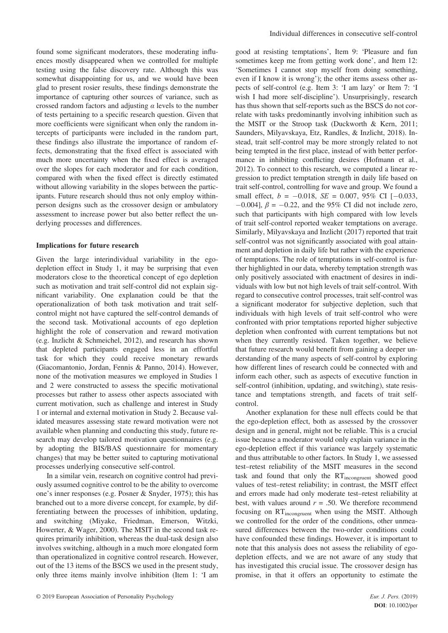found some significant moderators, these moderating influences mostly disappeared when we controlled for multiple testing using the false discovery rate. Although this was somewhat disappointing for us, and we would have been glad to present rosier results, these findings demonstrate the importance of capturing other sources of variance, such as crossed random factors and adjusting *α* levels to the number of tests pertaining to a specific research question. Given that more coefficients were significant when only the random intercepts of participants were included in the random part, these findings also illustrate the importance of random effects, demonstrating that the fixed effect is associated with much more uncertainty when the fixed effect is averaged over the slopes for each moderator and for each condition, compared with when the fixed effect is directly estimated without allowing variability in the slopes between the participants. Future research should thus not only employ withinperson designs such as the crossover design or ambulatory assessment to increase power but also better reflect the underlying processes and differences.

### **Implications for future research**

Given the large interindividual variability in the egodepletion effect in Study 1, it may be surprising that even moderators close to the theoretical concept of ego depletion such as motivation and trait self-control did not explain significant variability. One explanation could be that the operationalization of both task motivation and trait selfcontrol might not have captured the self-control demands of the second task. Motivational accounts of ego depletion highlight the role of conservation and reward motivation (e.g. Inzlicht & Schmeichel, 2012), and research has shown that depleted participants engaged less in an effortful task for which they could receive monetary rewards (Giacomantonio, Jordan, Fennis & Panno, 2014). However, none of the motivation measures we employed in Studies 1 and 2 were constructed to assess the specific motivational processes but rather to assess other aspects associated with current motivation, such as challenge and interest in Study 1 or internal and external motivation in Study 2. Because validated measures assessing state reward motivation were not available when planning and conducting this study, future research may develop tailored motivation questionnaires (e.g. by adopting the BIS/BAS questionnaire for momentary changes) that may be better suited to capturing motivational processes underlying consecutive self-control.

In a similar vein, research on cognitive control had previously assumed cognitive control to be the ability to overcome one's inner responses (e.g. Posner & Snyder, 1975); this has branched out to a more diverse concept, for example, by differentiating between the processes of inhibition, updating, and switching (Miyake, Friedman, Emerson, Witzki, Howerter, & Wager, 2000). The MSIT in the second task requires primarily inhibition, whereas the dual-task design also involves switching, although in a much more elongated form than operationalized in cognitive control research. However, out of the 13 items of the BSCS we used in the present study, only three items mainly involve inhibition (Item 1: 'I am good at resisting temptations', Item 9: 'Pleasure and fun sometimes keep me from getting work done', and Item 12: 'Sometimes I cannot stop myself from doing something, even if I know it is wrong'); the other items assess other aspects of self-control (e.g. Item 3: 'I am lazy' or Item 7: 'I wish I had more self-discipline'). Unsurprisingly, research has thus shown that self-reports such as the BSCS do not correlate with tasks predominantly involving inhibition such as the MSIT or the Stroop task (Duckworth & Kern, 2011; Saunders, Milyavskaya, Etz, Randles, & Inzlicht, 2018). Instead, trait self-control may be more strongly related to not being tempted in the first place, instead of with better performance in inhibiting conflicting desires (Hofmann et al., 2012). To connect to this research, we computed a linear regression to predict temptation strength in daily life based on trait self-control, controlling for wave and group. We found a small effect,  $b = -0.018$ ,  $SE = 0.007$ ,  $95\%$  CI  $[-0.033]$ ,  $-0.004$ ],  $\beta = -0.22$ , and the 95% CI did not include zero, such that participants with high compared with low levels of trait self-control reported weaker temptations on average. Similarly, Milyavskaya and Inzlicht (2017) reported that trait self-control was not significantly associated with goal attainment and depletion in daily life but rather with the experience of temptations. The role of temptations in self-control is further highlighted in our data, whereby temptation strength was only positively associated with enactment of desires in individuals with low but not high levels of trait self-control. With regard to consecutive control processes, trait self-control was a significant moderator for subjective depletion, such that individuals with high levels of trait self-control who were confronted with prior temptations reported higher subjective depletion when confronted with current temptations but not when they currently resisted. Taken together, we believe that future research would benefit from gaining a deeper understanding of the many aspects of self-control by exploring how different lines of research could be connected with and inform each other, such as aspects of executive function in self-control (inhibition, updating, and switching), state resistance and temptations strength, and facets of trait selfcontrol.

Another explanation for these null effects could be that the ego-depletion effect, both as assessed by the crossover design and in general, might not be reliable. This is a crucial issue because a moderator would only explain variance in the ego-depletion effect if this variance was largely systematic and thus attributable to other factors. In Study 1, we assessed test–retest reliability of the MSIT measures in the second task and found that only the RTincongruent showed good values of test–retest reliability; in contrast, the MSIT effect and errors made had only moderate test–retest reliability at best, with values around  $r = .50$ . We therefore recommend focusing on RTincongruent when using the MSIT. Although we controlled for the order of the conditions, other unmeasured differences between the two-order conditions could have confounded these findings. However, it is important to note that this analysis does not assess the reliability of egodepletion effects, and we are not aware of any study that has investigated this crucial issue. The crossover design has promise, in that it offers an opportunity to estimate the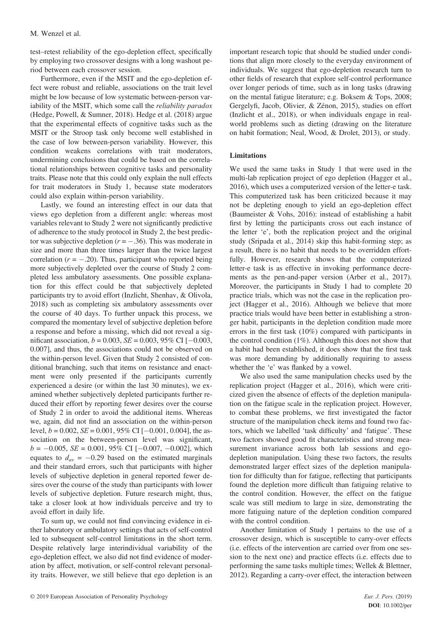test–retest reliability of the ego-depletion effect, specifically by employing two crossover designs with a long washout period between each crossover session.

Furthermore, even if the MSIT and the ego-depletion effect were robust and reliable, associations on the trait level might be low because of low systematic between-person variability of the MSIT, which some call the *reliability paradox* (Hedge, Powell, & Sumner, 2018). Hedge et al. (2018) argue that the experimental effects of cognitive tasks such as the MSIT or the Stroop task only become well established in the case of low between-person variability. However, this condition weakens correlations with trait moderators, undermining conclusions that could be based on the correlational relationships between cognitive tasks and personality traits. Please note that this could only explain the null effects for trait moderators in Study 1, because state moderators could also explain within-person variability.

Lastly, we found an interesting effect in our data that views ego depletion from a different angle: whereas most variables relevant to Study 2 were not significantly predictive of adherence to the study protocol in Study 2, the best predictor was subjective depletion  $(r = -.36)$ . This was moderate in size and more than three times larger than the twice largest correlation  $(r = -.20)$ . Thus, participant who reported being more subjectively depleted over the course of Study 2 completed less ambulatory assessments. One possible explanation for this effect could be that subjectively depleted participants try to avoid effort (Inzlicht, Shenhav, & Olivola, 2018) such as completing six ambulatory assessments over the course of 40 days. To further unpack this process, we compared the momentary level of subjective depletion before a response and before a missing, which did not reveal a significant association,  $b = 0.003$ ,  $SE = 0.003$ ,  $95\%$  CI [-0.003, 0.007], and thus, the associations could not be observed on the within-person level. Given that Study 2 consisted of conditional branching, such that items on resistance and enactment were only presented if the participants currently experienced a desire (or within the last 30 minutes), we examined whether subjectively depleted participants further reduced their effort by reporting fewer desires over the course of Study 2 in order to avoid the additional items. Whereas we, again, did not find an association on the within-person level,  $b = 0.002$ ,  $SE = 0.001$ ,  $95\%$  CI [-0.001, 0.004], the association on the between-person level was significant,  $b = -0.005$ , *SE* = 0.001, 95% CI [-0.007, -0.002], which equates to  $d_{av} = -0.29$  based on the estimated marginals and their standard errors, such that participants with higher levels of subjective depletion in general reported fewer desires over the course of the study than participants with lower levels of subjective depletion. Future research might, thus, take a closer look at how individuals perceive and try to avoid effort in daily life.

To sum up, we could not find convincing evidence in either laboratory or ambulatory settings that acts of self-control led to subsequent self-control limitations in the short term. Despite relatively large interindividual variability of the ego-depletion effect, we also did not find evidence of moderation by affect, motivation, or self-control relevant personality traits. However, we still believe that ego depletion is an

important research topic that should be studied under conditions that align more closely to the everyday environment of individuals. We suggest that ego-depletion research turn to other fields of research that explore self-control performance over longer periods of time, such as in long tasks (drawing on the mental fatigue literature; e.g. Boksem & Tops, 2008; Gergelyfi, Jacob, Olivier, & Zénon, 2015), studies on effort (Inzlicht et al., 2018), or when individuals engage in realworld problems such as dieting (drawing on the literature on habit formation; Neal, Wood, & Drolet, 2013), or study.

# **Limitations**

We used the same tasks in Study 1 that were used in the multi-lab replication project of ego depletion (Hagger et al., 2016), which uses a computerized version of the letter-e task. This computerized task has been criticized because it may not be depleting enough to yield an ego-depletion effect (Baumeister & Vohs, 2016): instead of establishing a habit first by letting the participants cross out each instance of the letter 'e', both the replication project and the original study (Sripada et al., 2014) skip this habit-forming step; as a result, there is no habit that needs to be overridden effortfully. However, research shows that the computerized letter-e task is as effective in invoking performance decrements as the pen-and-paper version (Arber et al., 2017). Moreover, the participants in Study 1 had to complete 20 practice trials, which was not the case in the replication project (Hagger et al., 2016). Although we believe that more practice trials would have been better in establishing a stronger habit, participants in the depletion condition made more errors in the first task (10%) compared with participants in the control condition (1%). Although this does not show that a habit had been established, it does show that the first task was more demanding by additionally requiring to assess whether the 'e' was flanked by a vowel.

We also used the same manipulation checks used by the replication project (Hagger et al., 2016), which were criticized given the absence of effects of the depletion manipulation on the fatigue scale in the replication project. However, to combat these problems, we first investigated the factor structure of the manipulation check items and found two factors, which we labelled 'task difficulty' and 'fatigue'. These two factors showed good fit characteristics and strong measurement invariance across both lab sessions and egodepletion manipulation. Using these two factors, the results demonstrated larger effect sizes of the depletion manipulation for difficulty than for fatigue, reflecting that participants found the depletion more difficult than fatiguing relative to the control condition. However, the effect on the fatigue scale was still medium to large in size, demonstrating the more fatiguing nature of the depletion condition compared with the control condition.

Another limitation of Study 1 pertains to the use of a crossover design, which is susceptible to carry-over effects (i.e. effects of the intervention are carried over from one session to the next one) and practice effects (i.e. effects due to performing the same tasks multiple times; Wellek & Blettner, 2012). Regarding a carry-over effect, the interaction between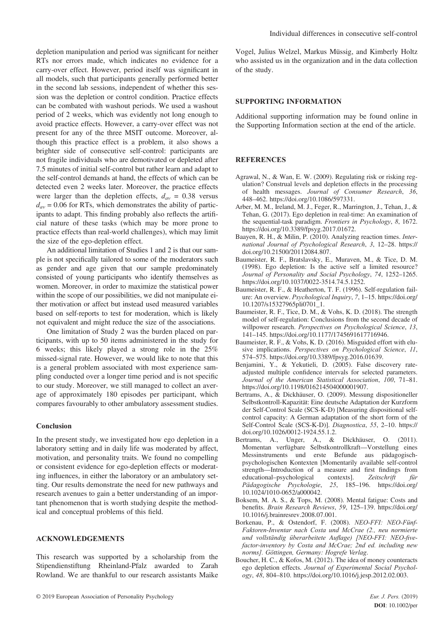depletion manipulation and period was significant for neither RTs nor errors made, which indicates no evidence for a carry-over effect. However, period itself was significant in all models, such that participants generally performed better in the second lab sessions, independent of whether this session was the depletion or control condition. Practice effects can be combated with washout periods. We used a washout period of 2 weeks, which was evidently not long enough to avoid practice effects. However, a carry-over effect was not present for any of the three MSIT outcome. Moreover, although this practice effect is a problem, it also shows a brighter side of consecutive self-control: participants are not fragile individuals who are demotivated or depleted after 7.5 minutes of initial self-control but rather learn and adapt to the self-control demands at hand, the effects of which can be detected even 2 weeks later. Moreover, the practice effects were larger than the depletion effects,  $d_{av} = 0.38$  versus  $d_{av}$  = 0.06 for RTs, which demonstrates the ability of participants to adapt. This finding probably also reflects the artificial nature of these tasks (which may be more prone to practice effects than real-world challenges), which may limit the size of the ego-depletion effect.

An additional limitation of Studies 1 and 2 is that our sample is not specifically tailored to some of the moderators such as gender and age given that our sample predominately consisted of young participants who identify themselves as women. Moreover, in order to maximize the statistical power within the scope of our possibilities, we did not manipulate either motivation or affect but instead used measured variables based on self-reports to test for moderation, which is likely not equivalent and might reduce the size of the associations.

One limitation of Study 2 was the burden placed on participants, with up to 50 items administered in the study for 6 weeks; this likely played a strong role in the 25% missed-signal rate. However, we would like to note that this is a general problem associated with most experience sampling conducted over a longer time period and is not specific to our study. Moreover, we still managed to collect an average of approximately 180 episodes per participant, which compares favourably to other ambulatory assessment studies.

### **Conclusion**

In the present study, we investigated how ego depletion in a laboratory setting and in daily life was moderated by affect, motivation, and personality traits. We found no compelling or consistent evidence for ego-depletion effects or moderating influences, in either the laboratory or an ambulatory setting. Our results demonstrate the need for new pathways and research avenues to gain a better understanding of an important phenomenon that is worth studying despite the methodical and conceptual problems of this field.

# **ACKNOWLEDGEMENTS**

This research was supported by a scholarship from the Stipendienstiftung Rheinland-Pfalz awarded to Zarah Rowland. We are thankful to our research assistants Maike

Vogel, Julius Welzel, Markus Müssig, and Kimberly Holtz who assisted us in the organization and in the data collection of the study.

# **SUPPORTING INFORMATION**

Additional supporting information may be found online in the Supporting Information section at the end of the article.

### **REFERENCES**

- Agrawal, N., & Wan, E. W. (2009). Regulating risk or risking regulation? Construal levels and depletion effects in the processing of health messages. *Journal of Consumer Research*, *36*, 448–462. [https://doi.org/10.1086/597331.](https://doi.org/10.1086/597331)
- Arber, M. M., Ireland, M. J., Feger, R., Marrington, J., Tehan, J., & Tehan, G. (2017). Ego depletion in real-time: An examination of the sequential-task paradigm. *Frontiers in Psychology*, *8*, 1672. <https://doi.org/10.3389/fpsyg.2017.01672>.
- Baayen, R. H., & Milin, P. (2010). Analyzing reaction times. *International Journal of Psychological Research*, *3*, 12–28. [https://](https://doi.org/10.21500/20112084.807) [doi.org/10.21500/20112084.807.](https://doi.org/10.21500/20112084.807)
- Baumeister, R. F., Bratslavsky, E., Muraven, M., & Tice, D. M. (1998). Ego depletion: Is the active self a limited resource? *Journal of Personality and Social Psychology*, *74*, 1252–1265. <https://doi.org/10.1037/0022-3514.74.5.1252>.
- Baumeister, R. F., & Heatherton, T. F. (1996). Self-regulation failure: An overview. *Psychological Inquiry*, *7*, 1–15. [https://doi.org/](https://doi.org/10.1207/s15327965pli0701_1) [10.1207/s15327965pli0701\\_1](https://doi.org/10.1207/s15327965pli0701_1).
- Baumeister, R. F., Tice, D. M., & Vohs, K. D. (2018). The strength model of self-regulation: Conclusions from the second decade of willpower research. *Perspectives on Psychological Science*, *13*, 141–145. [https://doi.org/10.1177/1745691617716946.](https://doi.org/10.1177/1745691617716946)
- Baumeister, R. F., & Vohs, K. D. (2016). Misguided effort with elusive implications. *Perspectives on Psychological Science*, *11*, 574–575. [https://doi.org/10.3389/fpsyg.2016.01639.](https://doi.org/10.3389/fpsyg.2016.01639)
- Benjamini, Y., & Yekutieli, D. (2005). False discovery rateadjusted multiple confidence intervals for selected parameters. *Journal of the American Statistical Association*, *100*, 71–81. <https://doi.org/10.1198/016214504000001907>.
- Bertrams, A., & Dickhäuser, O. (2009). Messung dispositioneller Selbstkontroll-Kapazität: Eine deutsche Adaptation der Kurzform der Self-Control Scale (SCS-K-D) [Measuring dispositional selfcontrol capacity: A German adaptation of the short form of the Self-Control Scale (SCS-K-D)]. *Diagnostica*, *55*, 2–10. [https://](https://doi.org/10.1026/0012-1924.55.1.2) [doi.org/10.1026/0012-1924.55.1.2](https://doi.org/10.1026/0012-1924.55.1.2).
- Bertrams, A., Unger, A., & Dickhäuser, O. (2011). Momentan verfügbare Selbstkontrollkraft—Vorstellung eines Messinstruments und erste Befunde aus pädagogischpsychologischen Kontexten [Momentarily available self-control strength—Introduction of a measure and first findings from educational–psychological contexts]. *Zeitschrift für Pädagogische Psychologie*, *25*, 185–196. [https://doi.org/](https://doi.org/10.1024/1010-0652/a000042) [10.1024/1010-0652/a000042.](https://doi.org/10.1024/1010-0652/a000042)
- Boksem, M. A. S., & Tops, M. (2008). Mental fatigue: Costs and benefits. *Brain Research Reviews*, *59*, 125–139. [https://doi.org/](https://doi.org/10.1016/j.brainresrev.2008.07.001) [10.1016/j.brainresrev.2008.07.001](https://doi.org/10.1016/j.brainresrev.2008.07.001).
- Borkenau, P., & Ostendorf, F. (2008). *NEO-FFI: NEO-Fünf-Faktoren-Inventar nach Costa und McCrae (2., neu normierte und vollständig überarbeitete Auflage) [NEO-FFI: NEO-fivefactor-inventory by Costa and McCrae; 2nd ed. including new norms]. Göttingen, Germany: Hogrefe Verlag*.
- Boucher, H. C., & Kofos, M. (2012). The idea of money counteracts ego depletion effects. *Journal of Experimental Social Psychology*, *48*, 804–810. [https://doi.org/10.1016/j.jesp.2012.02.003.](https://doi.org/10.1016/j.jesp.2012.02.003)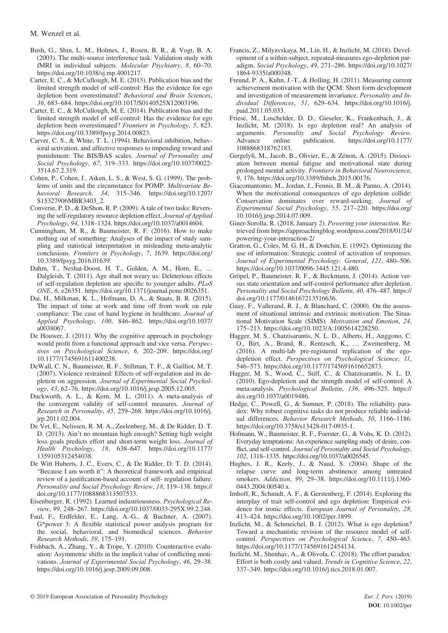- Bush, G., Shin, L. M., Holmes, J., Rosen, B. R., & Vogt, B. A. (2003). The multi-source interference task: Validation study with fMRI in individual subjects. *Molecular Psychiatry*, *8*, 60–70. [https://doi.org/10.1038/sj.mp.4001217.](https://doi.org/10.1038/sj.mp.4001217)
- Carter, E. C., & McCullough, M. E. (2013). Publication bias and the limited strength model of self-control: Has the evidence for ego depletion been overestimated? *Behavioral and Brain Sciences*, *36*, 683–684. [https://doi.org/10.1017/S0140525X12003196.](https://doi.org/10.1017/S0140525X12003196)
- Carter, E. C., & McCullough, M. E. (2014). Publication bias and the limited strength model of self-control: Has the evidence for ego depletion been overestimated? *Frontiers in Psychology*, *5*, 823. <https://doi.org/10.3389/fpsyg.2014.00823>.
- Carver, C. S., & White, T. L. (1994). Behavioral inhibition, behavioral activation, and affective responses to impending reward and punishment: The BIS/BAS scales. *Journal of Personality and Social Psychology*, *67*, 319–333. [https://doi.org/10.1037/0022-](https://doi.org/10.1037/0022-3514.67.2.319) [3514.67.2.319](https://doi.org/10.1037/0022-3514.67.2.319).
- Cohen, P., Cohen, J., Aiken, L. S., & West, S. G. (1999). The problems of units and the circumstance for POMP. *Multivariate Behavioral Research*, *34*, 315–346. [https://doi.org/10.1207/](https://doi.org/10.1207/S15327906MBR3403_2) [S15327906MBR3403\\_2](https://doi.org/10.1207/S15327906MBR3403_2).
- Converse, P. D., & DeShon, R. P. (2009). A tale of two tasks: Reversing the self-regulatory resource depletion effect. *Journal of Applied Psychology*, *94*, 1318–1324. [https://doi.org/10.1037/a0014604.](https://doi.org/10.1037/a0014604)
- Cunningham, M. R., & Baumeister, R. F. (2016). How to make nothing out of something: Analyses of the impact of study sampling and statistical interpretation in misleading meta-analytic conclusions. *Frontiers in Psychology*, *7*, 1639. [https://doi.org/](https://doi.org/10.3389/fpsyg.2016.01639) [10.3389/fpsyg.2016.01639.](https://doi.org/10.3389/fpsyg.2016.01639)
- Dahm, T., Neshat-Doost, H. T., Golden, A. M., Horn, E., … Dalgleish, T. (2011). Age shall not weary us: Deleterious effects of self-regulation depletion are specific to younger adults. *PLoS ONE*, *6*, e26351. [https://doi.org/10.1371/journal.pone.0026351.](https://doi.org/10.1371/journal.pone.0026351)
- Dai, H., Milkman, K. L., Hofmann, D. A., & Staats, B. R. (2015). The impact of time at work and time off from work on rule compliance: The case of hand hygiene in healthcare. *Journal of Applied Psychology*, *100*, 846–862. [https://doi.org/10.1037/](https://doi.org/10.1037/a0038067) [a0038067.](https://doi.org/10.1037/a0038067)
- De Houwer, J. (2011). Why the cognitive approach in psychology would profit from a functional approach and vice versa. *Perspectives on Psychological Science*, *6*, 202–209. [https://doi.org/](https://doi.org/10.1177/1745691611400238) [10.1177/1745691611400238.](https://doi.org/10.1177/1745691611400238)
- DeWall, C. N., Baumeister, R. F., Stillman, T. F., & Gailliot, M. T. (2007). Violence restrained: Effects of self-regulation and its depletion on aggression. *Journal of Experimental Social Psychology*, *43*, 62–76.<https://doi.org/10.1016/j.jesp.2005.12.005>.
- Duckworth, A. L., & Kern, M. L. (2011). A meta-analysis of the convergent validity of self-control measures. *Journal of Research in Personality*, *45*, 259–268. [https://doi.org/10.1016/j.](https://doi.org/10.1016/j.jrp.2011.02.004) [jrp.2011.02.004](https://doi.org/10.1016/j.jrp.2011.02.004).
- De Vet, E., Nelissen, R. M. A., Zeelenberg, M., & De Ridder, D. T. D. (2013). Ain't no mountain high enough? Setting high weight loss goals predicts effort and short-term weight loss. *Journal of Health Psychology*, *18*, 638–647. [https://doi.org/10.1177/](https://doi.org/10.1177/1359105312454038) [1359105312454038](https://doi.org/10.1177/1359105312454038).
- De Witt Huberts, J. C., Evers, C., & De Ridder, D. T. D. (2014). "Because I am worth it": A theoretical framework and empirical review of a justification-based account of self- regulation failure. *Personality and Social Psychology Review*, *18*, 119–138. [https://](https://doi.org/10.1177/1088868313507533) [doi.org/10.1177/1088868313507533.](https://doi.org/10.1177/1088868313507533)
- Eisenberger, R. (1992). Learned industriousness. *Psychological Review*, *99*, 248–267. [https://doi.org/10.1037/0033-295X.99.2.248.](https://doi.org/10.1037/0033-295X.99.2.248)
- Faul, F., Erdfelder, E., Lang, A.-G., & Buchner, A. (2007). G\*power 3: A flexible statistical power analysis program for the social, behavioral, and biomedical sciences. *Behavior Research Methods*, *39*, 175–191.
- Fishbach, A., Zhang, Y., & Trope, Y. (2010). Counteractive evaluation: Asymmetric shifts in the implicit value of conflicting motivations. *Journal of Experimental Social Psychology*, *46*, 29–38. [https://doi.org/10.1016/j.jesp.2009.09.008.](https://doi.org/10.1016/j.jesp.2009.09.008)
- Francis, Z., Milyavskaya, M., Lin, H., & Inzlicht, M. (2018). Development of a within-subject, repeated-measures ego-depletion paradigm. *Social Psychology*, *49*, 271–286. [https://doi.org/10.1027/](https://doi.org/10.1027/1864-9335/a000348) [1864-9335/a000348](https://doi.org/10.1027/1864-9335/a000348).
- Freund, P. A., Kuhn, J.-T., & Holling, H. (2011). Measuring current achievement motivation with the QCM: Short form development and investigation of measurement invariance. *Personality and Individual Differences*, *51*, 629–634. [https://doi.org/10.1016/j.](https://doi.org/10.1016/j.paid.2011.05.033) [paid.2011.05.033.](https://doi.org/10.1016/j.paid.2011.05.033)
- Friese, M., Loschelder, D. D., Gieseler, K., Frankenbach, J., & Inzlicht, M. (2018). Is ego depletion real? An analysis of arguments. *Personality and Social Psychology Review*. Advance online publication. [https://doi.org/10.1177/](https://doi.org/10.1177/1088868318762183) [1088868318762183](https://doi.org/10.1177/1088868318762183).
- Gergelyfi, M., Jacob, B., Olivier, E., & Zénon, A. (2015). Dissociation between mental fatigue and motivational state during prolonged mental activity. *Frontiers in Behavioral Neuroscience*, *9*, 176. [https://doi.org/10.3389/fnbeh.2015.00176.](https://doi.org/10.3389/fnbeh.2015.00176)
- Giacomantonio, M., Jordan, J., Fennis, B. M., & Panno, A. (2014). When the motivational consequences of ego depletion collide: Conservation dominates over reward-seeking. *Journal of Experimental Social Psychology*, *55*, 217–220. [https://doi.org/](https://doi.org/10.1016/j.jesp.2014.07.009) [10.1016/j.jesp.2014.07.009](https://doi.org/10.1016/j.jesp.2014.07.009).
- Giner-Sorolla, R. (2018, January 2). *Powering your interaction*. Retrieved from [https://approachingblog.wordpress.com/2018/01/24/](https://approachingblog.wordpress.com/2018/01/24/powering-your-interaction-2/) [powering-your-interaction-2/](https://approachingblog.wordpress.com/2018/01/24/powering-your-interaction-2/)
- Gratton, G., Coles, M. G. H., & Donchin, E. (1992). Optimizing the use of information: Strategic control of activation of responses. *Journal of Experimental Psychology: General*, *121*, 480–506. [https://doi.org/10.1037/0096-3445.121.4.480.](https://doi.org/10.1037/0096-3445.121.4.480)
- Gröpel, P., Baumeister, R. F., & Beckmann, J. (2014). Action versus state orientation and self-control performance after depletion. *Personality and Social Psychology Bulletin*, *40*, 476–487. [https://](https://doi.org/10.1177/0146167213516636) [doi.org/10.1177/0146167213516636.](https://doi.org/10.1177/0146167213516636)
- Guay, F., Vallerand, R. J., & Blanchard, C. (2000). On the assessment of situational intrinsic and extrinsic motivation: The Situational Motivation Scale (SIMS). *Motivation and Emotion*, *24*, 175–213.<https://doi.org/10.1023/A:1005614228250>.
- Hagger, M. S., Chatzisarantis, N. L. D., Alberts, H., Anggono, C. O., Birt, A., Brand, R., Rentzsch, K., … Zweinenberg, M. (2016). A multi-lab pre-registered replication of the egodepletion effect. *Perspectives on Psychological Science*, *11*, 546–573. [https://doi.org/10.1177/1745691616652873.](https://doi.org/10.1177/1745691616652873)
- Hagger, M. S., Wood, C., Stiff, C., & Chatzisarantis, N. L. D. (2010). Ego-depletion and the strength model of self-control: A meta-analysis. *Psychological Bulletin*, *136*, 496–525. [https://](https://doi.org/10.1037/a0019486) [doi.org/10.1037/a0019486](https://doi.org/10.1037/a0019486).
- Hedge, C., Powell, G., & Sumner, P. (2018). The reliability paradox: Why robust cognitive tasks do not produce reliable individual differences. *Behavior Research Methods*, *50*, 1166–1186. <https://doi.org/10.3758/s13428-017-0935-1>.
- Hofmann, W., Baumeister, R. F., Foerster, G., & Vohs, K. D. (2012). Everyday temptations: An experience sampling study of desire, conflict, and self-control. *Journal of Personality and Social Psychology*, *102*, 1318–1335. [https://doi.org/10.1037/a0026545.](https://doi.org/10.1037/a0026545)
- Hughes, J. R., Keely, J., & Naud, S. (2004). Shape of the relapse curve and long-term abstinence among untreated smokers. *Addiction*, *99*, 29–38. [https://doi.org/10.1111/j.1360-](https://doi.org/10.1111/j.1360-0443.2004.00540.x) [0443.2004.00540.x.](https://doi.org/10.1111/j.1360-0443.2004.00540.x)
- Imhoff, R., Schmidt, A. F., & Gerstenberg, F. (2014). Exploring the interplay of trait self-control and ego depletion: Empirical evidence for ironic effects. *European Journal of Personality*, *28*, 413–424. [https://doi.org/10.1002/per.1899.](https://doi.org/10.1002/per.1899)
- Inzlicht, M., & Schmeichel, B. J. (2012). What is ego depletion? Toward a mechanistic revision of the resource model of selfcontrol. *Perspectives on Psychological Science*, *7*, 450–463. <https://doi.org/10.1177/1745691612454134>.
- Inzlicht, M., Shenhav, A., & Olivola, C. (2018). The effort paradox: Effort is both costly and valued. *Trends in Cognitive Science*, *22*, 337–349.<https://doi.org/10.1016/j.tics.2018.01.007>.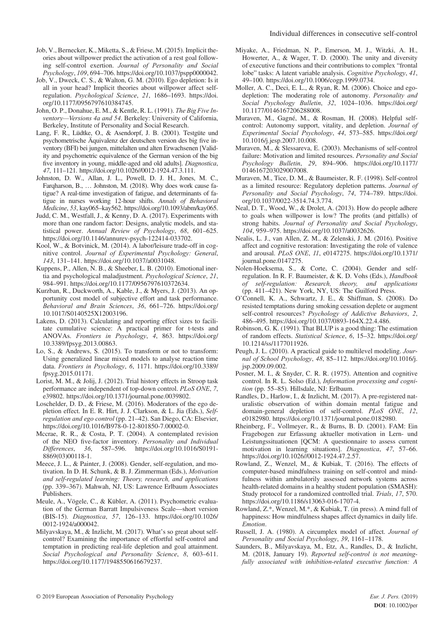- Job, V., Bernecker, K., Miketta, S., & Friese, M. (2015). Implicit theories about willpower predict the activation of a rest goal following self-control exertion. *Journal of Personality and Social Psychology*, *109*, 694–706. [https://doi.org/10.1037/pspp0000042.](https://doi.org/10.1037/pspp0000042)
- Job, V., Dweck, C. S., & Walton, G. M. (2010). Ego depletion: Is it all in your head? Implicit theories about willpower affect selfregulation. *Psychological Science*, *21*, 1686–1693. [https://doi.](https://doi.org/10.1177/0956797610384745) [org/10.1177/0956797610384745.](https://doi.org/10.1177/0956797610384745)
- John, O. P., Donahue, E. M., & Kentle, R. L. (1991). *The Big Five Inventory—Versions 4a and 54*. Berkeley: University of California, Berkeley, Institute of Personality and Social Research.
- Lang, F. R., Lüdtke, O., & Asendorpf, J. B. (2001). Testgüte und psychometrische Äquivalenz der deutschen version des big five inventory (BFI) bei jungen, mittelalten und alten Erwachsenen [Validity and psychometric equivalence of the German version of the big five inventory in young, middle-aged and old adults]. *Diagnostica*, *47*, 111–121.<https://doi.org/10.1026//0012-1924.47.3.111>.
- Johnston, D. W., Allan, J. L., Powell, D. J. H., Jones, M. C., Farqharson, B., … Johnston, M. (2018). Why does work cause fatigue? A real-time investigation of fatigue, and determinants of fatigue in nurses working 12-hour shifts. *Annals of Behavioral Medicine*, *53*, kay065–kay562. [https://doi.org/10.1093/abm/kay065.](https://doi.org/10.1093/abm/kay065)
- Judd, C. M., Westfall, J., & Kenny, D. A. (2017). Experiments with more than one random factor: Designs, analytic models, and statistical power. *Annual Review of Psychology*, *68*, 601–625. [https://doi.org/10.1146/annurev-psych-122414-033702.](https://doi.org/10.1146/annurev-psych-122414-033702)
- Kool, W., & Botvinick, M. (2014). A labor/leisure trade-off in cognitive control. *Journal of Experimental Psychology: General*, *143*, 131–141. [https://doi.org/10.1037/a0031048.](https://doi.org/10.1037/a0031048)
- Kuppens, P., Allen, N. B., & Sheeber, L. B. (2010). Emotional inertia and psychological maladjustment. *Psychological Science*, *21*, 984–991. [https://doi.org/10.1177/0956797610372634.](https://doi.org/10.1177/0956797610372634)
- Kurzban, R., Duckworth, A., Kable, J., & Myers, J. (2013). An opportunity cost model of subjective effort and task performance. *Behavioral and Brain Sciences*, *36*, 661–726. [https://doi.org/](https://doi.org/10.1017/S0140525X12003196) [10.1017/S0140525X12003196.](https://doi.org/10.1017/S0140525X12003196)
- Lakens, D. (2013). Calculating and reporting effect sizes to facilitate cumulative science: A practical primer for t-tests and ANOVAs. *Frontiers in Psychology*, *4*, 863. [https://doi.org/](https://doi.org/10.3389/fpsyg.2013.00863) [10.3389/fpsyg.2013.00863](https://doi.org/10.3389/fpsyg.2013.00863).
- Lo, S., & Andrews, S. (2015). To transform or not to transform: Using generalized linear mixed models to analyse reaction time data. *Frontiers in Psychology*, *6*, 1171. [https://doi.org/10.3389/](https://doi.org/10.3389/fpsyg.2015.01171) [fpsyg.2015.01171.](https://doi.org/10.3389/fpsyg.2015.01171)
- Lorist, M. M., & Jolij, J. (2012). Trial history effects in Stroop task performance are independent of top-down control. *PLoS ONE*, *7*, e39802.<https://doi.org/10.1371/journal.pone.0039802>.
- Loschelder, D. D., & Friese, M. (2016). Moderators of the ego depletion effect. In E. R. Hirt, J. J. Clarkson, & L. Jia (Eds.), *Selfregulation and ego control* (pp. 21–42). San Diego, CA: Elsevier, [https://doi.org/10.1016/B978-0-12-801850-7.00002-0.](https://doi.org/10.1016/B978-0-12-801850-7.00002-0)
- Mccrae, R. R., & Costa, P. T. (2004). A contemplated revision of the NEO five-factor inventory. *Personality and Individual Differences*, *36*, 587–596. [https://doi.org/10.1016/S0191-](https://doi.org/10.1016/S0191-8869(03)00118-1) [8869\(03\)00118-1.](https://doi.org/10.1016/S0191-8869(03)00118-1)
- Meece, J. L., & Painter, J. (2008). Gender, self-regulation, and motivation. In D. H. Schunk, & B. J. Zimmerman (Eds.), *Motivation and self-regulated learning: Theory, research, and applications* (pp. 339–367). Mahwah, NJ, US: Lawrence Erlbaum Associates Publishers.
- Meule, A., Vögele, C., & Kübler, A. (2011). Psychometric evaluation of the German Barratt Impulsiveness Scale—short version (BIS-15). *Diagnostica*, *57*, 126–133. [https://doi.org/10.1026/](https://doi.org/10.1026/0012-1924/a000042) [0012-1924/a000042](https://doi.org/10.1026/0012-1924/a000042).
- Milyavskaya, M., & Inzlicht, M. (2017). What's so great about selfcontrol? Examining the importance of effortful self-control and temptation in predicting real-life depletion and goal attainment. *Social Psychological and Personality Science*, *8*, 603–611. <https://doi.org/10.1177/1948550616679237>.
- Miyake, A., Friedman, N. P., Emerson, M. J., Witzki, A. H., Howerter, A., & Wager, T. D. (2000). The unity and diversity of executive functions and their contributions to complex "frontal lobe" tasks: A latent variable analysis. *Cognitive Psychology*, *41*, 49–100.<https://doi.org/10.1006/cogp.1999.0734>.
- Moller, A. C., Deci, E. L., & Ryan, R. M. (2006). Choice and egodepletion: The moderating role of autonomy. *Personality and Social Psychology Bulletin*, *32*, 1024–1036. [https://doi.org/](https://doi.org/10.1177/0146167206288008) [10.1177/0146167206288008.](https://doi.org/10.1177/0146167206288008)
- Muraven, M., Gagné, M., & Rosman, H. (2008). Helpful selfcontrol: Autonomy support, vitality, and depletion. *Journal of Experimental Social Psychology*, *44*, 573–585. [https://doi.org/](https://doi.org/10.1016/j.jesp.2007.10.008) [10.1016/j.jesp.2007.10.008.](https://doi.org/10.1016/j.jesp.2007.10.008)
- Muraven, M., & Slessareva, E. (2003). Mechanisms of self-control failure: Motivation and limited resources. *Personality and Social Psychology Bulletin*, *29*, 894–906. [https://doi.org/10.1177/](https://doi.org/10.1177/0146167203029007008) [0146167203029007008](https://doi.org/10.1177/0146167203029007008).
- Muraven, M., Tice, D. M., & Baumeister, R. F. (1998). Self-control as a limited resource: Regulatory depletion patterns. *Journal of Personality and Social Psychology*, *74*, 774–789. [https://doi.](https://doi.org/10.1037/0022-3514.74.3.774) [org/10.1037/0022-3514.74.3.774.](https://doi.org/10.1037/0022-3514.74.3.774)
- Neal, D. T., Wood, W., & Drolet, A. (2013). How do people adhere to goals when willpower is low? The profits (and pitfalls) of strong habits. *Journal of Personality and Social Psychology*, *104*, 959–975. [https://doi.org/10.1037/a0032626.](https://doi.org/10.1037/a0032626)
- Nealis, L. J., van Allen, Z. M., & Zelenski, J. M. (2016). Positive affect and cognitive restoration: Investigating the role of valence and arousal. *PLoS ONE*, *11*, e0147275. [https://doi.org/10.1371/](https://doi.org/10.1371/journal.pone.0147275) [journal.pone.0147275.](https://doi.org/10.1371/journal.pone.0147275)
- Nolen-Hoeksema, S., & Corte, C. (2004). Gender and selfregulation. In R. F. Baumeister, & K. D. Vohs (Eds.), *Handbook of self-regulation: Research, theory, and applications* (pp. 411–421). New York, NY, US: The Guilford Press.
- O'Connell, K. A., Schwartz, J. E., & Shiffman, S. (2008). Do resisted temptations during smoking cessation deplete or augment self-control resources? *Psychology of Addictive Behaviors*, *2*, 486–495.<https://doi.org/10.1037/0893-164X.22.4.486>.
- Robinson, G. K. (1991). That BLUP is a good thing: The estimation of random effects. *Statistical Science*, *6*, 15–32. [https://doi.org/](https://doi.org/10.1214/ss/1177011926) [10.1214/ss/1177011926.](https://doi.org/10.1214/ss/1177011926)
- Peugh, J. L. (2010). A practical guide to multilevel modeling. *Journal of School Psychology*, *48*, 85–112. [https://doi.org/10.1016/j.](https://doi.org/10.1016/j.jsp.2009.09.002) [jsp.2009.09.002.](https://doi.org/10.1016/j.jsp.2009.09.002)
- Posner, M. I., & Snyder, C. R. R. (1975). Attention and cognitive control. In R. L. Solso (Ed.), *Information processing and cognition* (pp. 55–85). Hillsdale, NJ: Erlbaum.
- Randles, D., Harlow, I., & Inzlicht, M. (2017). A pre-registered naturalistic observation of within domain mental fatigue and domain-general depletion of self-control. *PLoS ONE*, *12*, e0182980.<https://doi.org/10.1371/journal.pone.0182980>.
- Rheinberg, F., Vollmeyer, R., & Burns, B. D. (2001). FAM: Ein Fragebogen zur Erfassung aktueller motivation in Lern- und Leistungssituationen [QCM: A questionnaire to assess current motivation in learning situations]. *Diagnostica*, *47*, 57–66. [https://doi.org/10.1026//0012-1924.47.2.57.](https://doi.org/10.1026//0012-1924.47.2.57)
- Rowland, Z., Wenzel, M., & Kubiak, T. (2016). The effects of computer-based mindfulness training on self-control and mindfulness within ambulatorily assessed network systems across health-related domains in a healthy student population (SMASH): Study protocol for a randomized controlled trial. *Trials*, *17*, 570. [https://doi.org/10.1186/s13063-016-1707-4.](https://doi.org/10.1186/s13063-016-1707-4)
- Rowland, Z.\*, Wenzel, M.\*, & Kubiak, T. (in press). A mind full of happiness: How mindfulness shapes affect dynamics in daily life. *Emotion*.
- Russell, J. A. (1980). A circumplex model of affect. *Journal of Personality and Social Psychology*, *39*, 1161–1178.
- Saunders, B., Milyavskaya, M., Etz, A., Randles, D., & Inzlicht, M. (2018, January 19). *Reported self-control is not meaningfully associated with inhibition-related executive function: A*